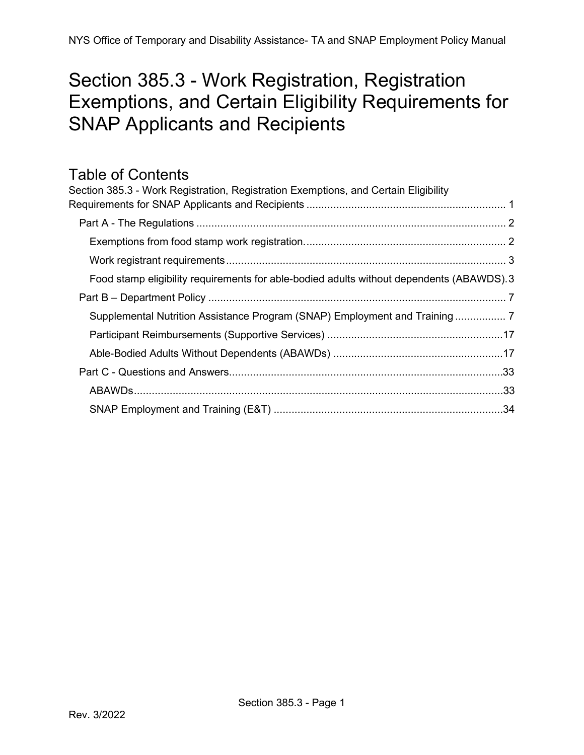# <span id="page-0-0"></span>Section 385.3 - Work Registration, Registration Exemptions, and Certain Eligibility Requirements for SNAP Applicants and Recipients

## Table of Contents

| Section 385.3 - Work Registration, Registration Exemptions, and Certain Eligibility       |  |
|-------------------------------------------------------------------------------------------|--|
|                                                                                           |  |
|                                                                                           |  |
|                                                                                           |  |
|                                                                                           |  |
| Food stamp eligibility requirements for able-bodied adults without dependents (ABAWDS). 3 |  |
|                                                                                           |  |
| Supplemental Nutrition Assistance Program (SNAP) Employment and Training                  |  |
|                                                                                           |  |
|                                                                                           |  |
|                                                                                           |  |
|                                                                                           |  |
|                                                                                           |  |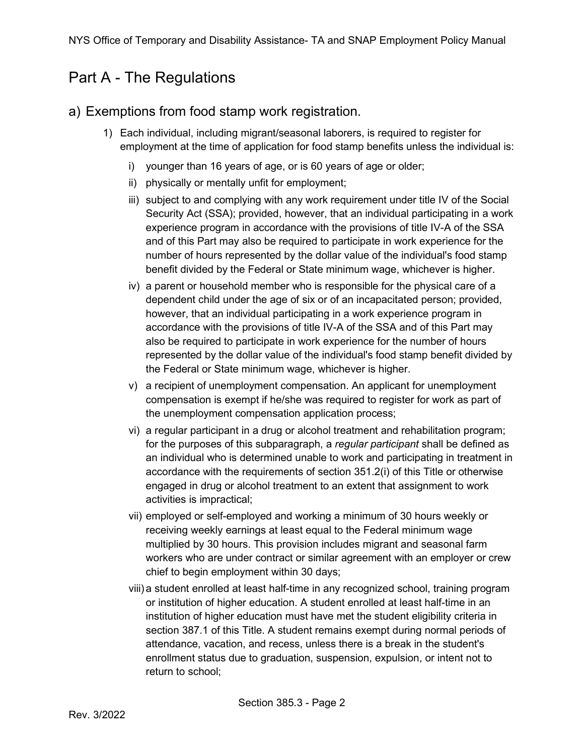## <span id="page-1-0"></span>Part A - The Regulations

### <span id="page-1-1"></span>a) Exemptions from food stamp work registration.

- 1) Each individual, including migrant/seasonal laborers, is required to register for employment at the time of application for food stamp benefits unless the individual is:
	- i) younger than 16 years of age, or is 60 years of age or older;
	- ii) physically or mentally unfit for employment;
	- iii) subject to and complying with any work requirement under title IV of the Social Security Act (SSA); provided, however, that an individual participating in a work experience program in accordance with the provisions of title IV-A of the SSA and of this Part may also be required to participate in work experience for the number of hours represented by the dollar value of the individual's food stamp benefit divided by the Federal or State minimum wage, whichever is higher.
	- iv) a parent or household member who is responsible for the physical care of a dependent child under the age of six or of an incapacitated person; provided, however, that an individual participating in a work experience program in accordance with the provisions of title IV-A of the SSA and of this Part may also be required to participate in work experience for the number of hours represented by the dollar value of the individual's food stamp benefit divided by the Federal or State minimum wage, whichever is higher.
	- v) a recipient of unemployment compensation. An applicant for unemployment compensation is exempt if he/she was required to register for work as part of the unemployment compensation application process;
	- vi) a regular participant in a drug or alcohol treatment and rehabilitation program; for the purposes of this subparagraph, a *regular participant* shall be defined as an individual who is determined unable to work and participating in treatment in accordance with the requirements of section 351.2(i) of this Title or otherwise engaged in drug or alcohol treatment to an extent that assignment to work activities is impractical;
	- vii) employed or self-employed and working a minimum of 30 hours weekly or receiving weekly earnings at least equal to the Federal minimum wage multiplied by 30 hours. This provision includes migrant and seasonal farm workers who are under contract or similar agreement with an employer or crew chief to begin employment within 30 days;
	- viii) a student enrolled at least half-time in any recognized school, training program or institution of higher education. A student enrolled at least half-time in an institution of higher education must have met the student eligibility criteria in section 387.1 of this Title. A student remains exempt during normal periods of attendance, vacation, and recess, unless there is a break in the student's enrollment status due to graduation, suspension, expulsion, or intent not to return to school;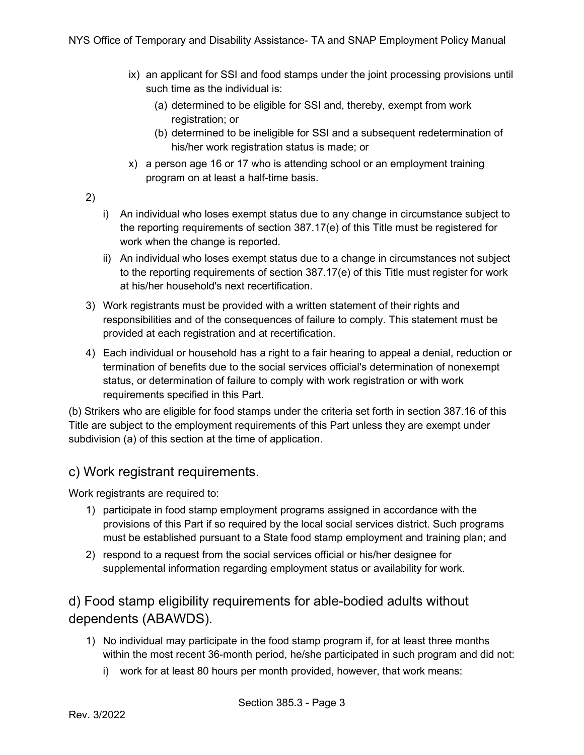- ix) an applicant for SSI and food stamps under the joint processing provisions until such time as the individual is:
	- (a) determined to be eligible for SSI and, thereby, exempt from work registration; or
	- (b) determined to be ineligible for SSI and a subsequent redetermination of his/her work registration status is made; or
- x) a person age 16 or 17 who is attending school or an employment training program on at least a half-time basis.
- 2)
- i) An individual who loses exempt status due to any change in circumstance subject to the reporting requirements of section 387.17(e) of this Title must be registered for work when the change is reported.
- ii) An individual who loses exempt status due to a change in circumstances not subject to the reporting requirements of section 387.17(e) of this Title must register for work at his/her household's next recertification.
- 3) Work registrants must be provided with a written statement of their rights and responsibilities and of the consequences of failure to comply. This statement must be provided at each registration and at recertification.
- 4) Each individual or household has a right to a fair hearing to appeal a denial, reduction or termination of benefits due to the social services official's determination of nonexempt status, or determination of failure to comply with work registration or with work requirements specified in this Part.

(b) Strikers who are eligible for food stamps under the criteria set forth in section 387.16 of this Title are subject to the employment requirements of this Part unless they are exempt under subdivision (a) of this section at the time of application.

### c) Work registrant requirements.

Work registrants are required to:

- <span id="page-2-0"></span>1) participate in food stamp employment programs assigned in accordance with the provisions of this Part if so required by the local social services district. Such programs must be established pursuant to a State food stamp employment and training plan; and
- 2) respond to a request from the social services official or his/her designee for supplemental information regarding employment status or availability for work.

### <span id="page-2-1"></span>d) Food stamp eligibility requirements for able-bodied adults without dependents (ABAWDS).

- 1) No individual may participate in the food stamp program if, for at least three months within the most recent 36-month period, he/she participated in such program and did not:
	- i) work for at least 80 hours per month provided, however, that work means: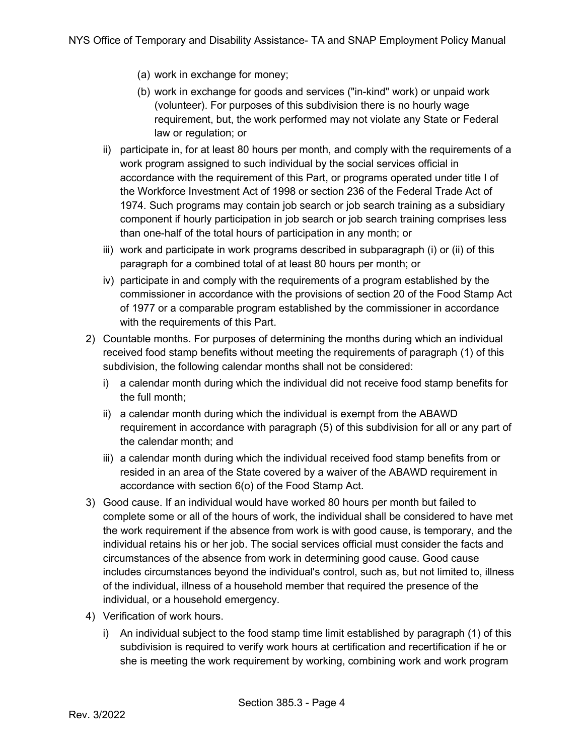- (a) work in exchange for money;
- (b) work in exchange for goods and services ("in-kind" work) or unpaid work (volunteer). For purposes of this subdivision there is no hourly wage requirement, but, the work performed may not violate any State or Federal law or regulation; or
- ii) participate in, for at least 80 hours per month, and comply with the requirements of a work program assigned to such individual by the social services official in accordance with the requirement of this Part, or programs operated under title I of the Workforce Investment Act of 1998 or section 236 of the Federal Trade Act of 1974. Such programs may contain job search or job search training as a subsidiary component if hourly participation in job search or job search training comprises less than one-half of the total hours of participation in any month; or
- iii) work and participate in work programs described in subparagraph (i) or (ii) of this paragraph for a combined total of at least 80 hours per month; or
- iv) participate in and comply with the requirements of a program established by the commissioner in accordance with the provisions of section 20 of the Food Stamp Act of 1977 or a comparable program established by the commissioner in accordance with the requirements of this Part.
- 2) Countable months. For purposes of determining the months during which an individual received food stamp benefits without meeting the requirements of paragraph (1) of this subdivision, the following calendar months shall not be considered:
	- i) a calendar month during which the individual did not receive food stamp benefits for the full month;
	- ii) a calendar month during which the individual is exempt from the ABAWD requirement in accordance with paragraph (5) of this subdivision for all or any part of the calendar month; and
	- iii) a calendar month during which the individual received food stamp benefits from or resided in an area of the State covered by a waiver of the ABAWD requirement in accordance with section 6(o) of the Food Stamp Act.
- 3) Good cause. If an individual would have worked 80 hours per month but failed to complete some or all of the hours of work, the individual shall be considered to have met the work requirement if the absence from work is with good cause, is temporary, and the individual retains his or her job. The social services official must consider the facts and circumstances of the absence from work in determining good cause. Good cause includes circumstances beyond the individual's control, such as, but not limited to, illness of the individual, illness of a household member that required the presence of the individual, or a household emergency.
- 4) Verification of work hours.
	- i) An individual subject to the food stamp time limit established by paragraph (1) of this subdivision is required to verify work hours at certification and recertification if he or she is meeting the work requirement by working, combining work and work program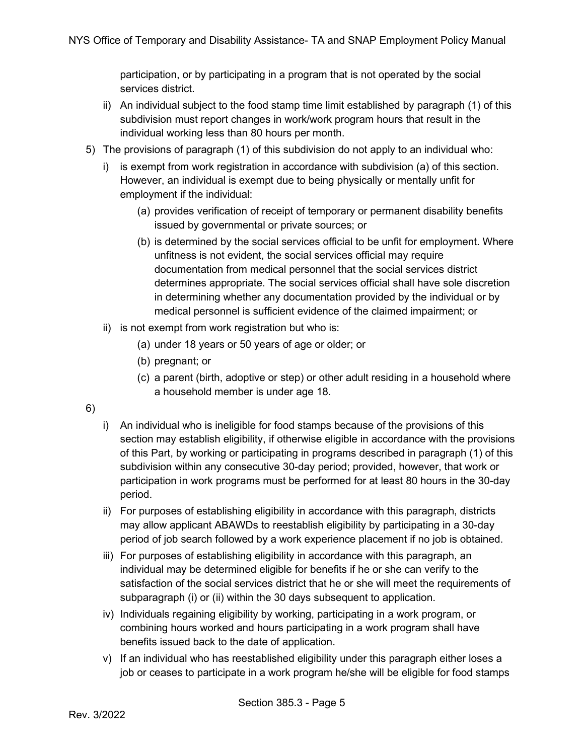participation, or by participating in a program that is not operated by the social services district.

- ii) An individual subject to the food stamp time limit established by paragraph (1) of this subdivision must report changes in work/work program hours that result in the individual working less than 80 hours per month.
- 5) The provisions of paragraph (1) of this subdivision do not apply to an individual who:
	- i) is exempt from work registration in accordance with subdivision (a) of this section. However, an individual is exempt due to being physically or mentally unfit for employment if the individual:
		- (a) provides verification of receipt of temporary or permanent disability benefits issued by governmental or private sources; or
		- (b) is determined by the social services official to be unfit for employment. Where unfitness is not evident, the social services official may require documentation from medical personnel that the social services district determines appropriate. The social services official shall have sole discretion in determining whether any documentation provided by the individual or by medical personnel is sufficient evidence of the claimed impairment; or
	- ii) is not exempt from work registration but who is:
		- (a) under 18 years or 50 years of age or older; or
		- (b) pregnant; or
		- (c) a parent (birth, adoptive or step) or other adult residing in a household where a household member is under age 18.
- 6)
- i) An individual who is ineligible for food stamps because of the provisions of this section may establish eligibility, if otherwise eligible in accordance with the provisions of this Part, by working or participating in programs described in paragraph (1) of this subdivision within any consecutive 30-day period; provided, however, that work or participation in work programs must be performed for at least 80 hours in the 30-day period.
- ii) For purposes of establishing eligibility in accordance with this paragraph, districts may allow applicant ABAWDs to reestablish eligibility by participating in a 30-day period of job search followed by a work experience placement if no job is obtained.
- iii) For purposes of establishing eligibility in accordance with this paragraph, an individual may be determined eligible for benefits if he or she can verify to the satisfaction of the social services district that he or she will meet the requirements of subparagraph (i) or (ii) within the 30 days subsequent to application.
- iv) Individuals regaining eligibility by working, participating in a work program, or combining hours worked and hours participating in a work program shall have benefits issued back to the date of application.
- v) If an individual who has reestablished eligibility under this paragraph either loses a job or ceases to participate in a work program he/she will be eligible for food stamps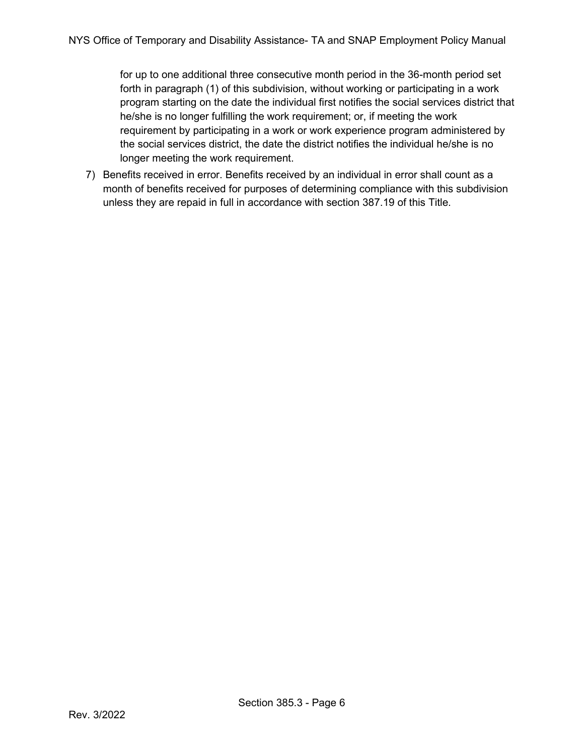for up to one additional three consecutive month period in the 36-month period set forth in paragraph (1) of this subdivision, without working or participating in a work program starting on the date the individual first notifies the social services district that he/she is no longer fulfilling the work requirement; or, if meeting the work requirement by participating in a work or work experience program administered by the social services district, the date the district notifies the individual he/she is no longer meeting the work requirement.

7) Benefits received in error. Benefits received by an individual in error shall count as a month of benefits received for purposes of determining compliance with this subdivision unless they are repaid in full in accordance with section 387.19 of this Title.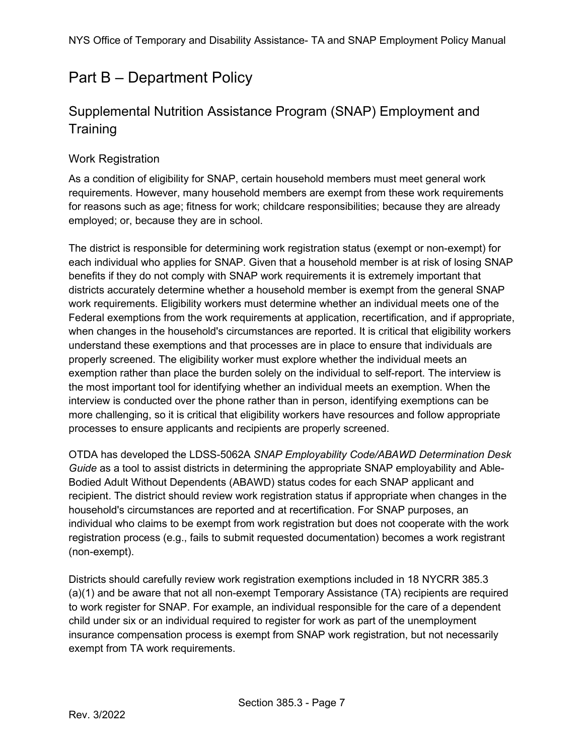## <span id="page-6-0"></span>Part B – Department Policy

## <span id="page-6-1"></span>Supplemental Nutrition Assistance Program (SNAP) Employment and **Training**

### Work Registration

As a condition of eligibility for SNAP, certain household members must meet general work requirements. However, many household members are exempt from these work requirements for reasons such as age; fitness for work; childcare responsibilities; because they are already employed; or, because they are in school.

The district is responsible for determining work registration status (exempt or non-exempt) for each individual who applies for SNAP. Given that a household member is at risk of losing SNAP benefits if they do not comply with SNAP work requirements it is extremely important that districts accurately determine whether a household member is exempt from the general SNAP work requirements. Eligibility workers must determine whether an individual meets one of the Federal exemptions from the work requirements at application, recertification, and if appropriate, when changes in the household's circumstances are reported. It is critical that eligibility workers understand these exemptions and that processes are in place to ensure that individuals are properly screened. The eligibility worker must explore whether the individual meets an exemption rather than place the burden solely on the individual to self-report. The interview is the most important tool for identifying whether an individual meets an exemption. When the interview is conducted over the phone rather than in person, identifying exemptions can be more challenging, so it is critical that eligibility workers have resources and follow appropriate processes to ensure applicants and recipients are properly screened.

OTDA has developed the LDSS-5062A *SNAP Employability Code/ABAWD Determination Desk Guide* as a tool to assist districts in determining the appropriate SNAP employability and Able-Bodied Adult Without Dependents (ABAWD) status codes for each SNAP applicant and recipient. The district should review work registration status if appropriate when changes in the household's circumstances are reported and at recertification. For SNAP purposes, an individual who claims to be exempt from work registration but does not cooperate with the work registration process (e.g., fails to submit requested documentation) becomes a work registrant (non-exempt).

Districts should carefully review work registration exemptions included in 18 NYCRR 385.3 (a)(1) and be aware that not all non-exempt Temporary Assistance (TA) recipients are required to work register for SNAP. For example, an individual responsible for the care of a dependent child under six or an individual required to register for work as part of the unemployment insurance compensation process is exempt from SNAP work registration, but not necessarily exempt from TA work requirements.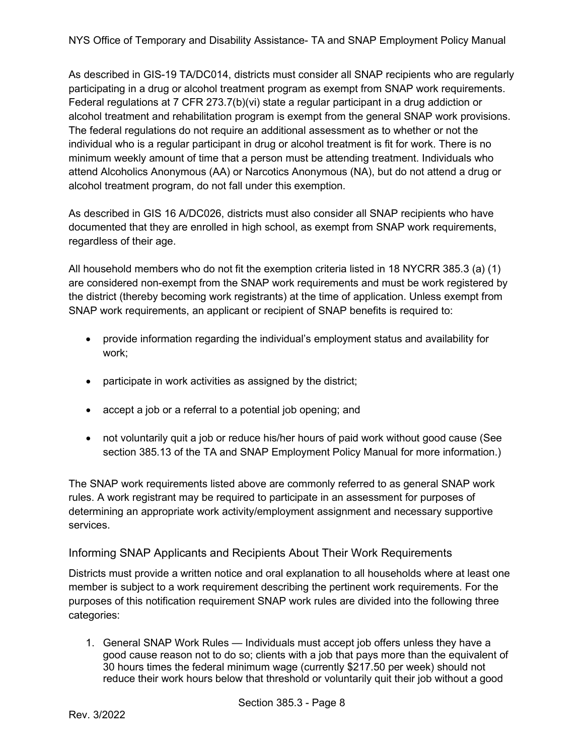As described in GIS-19 TA/DC014, districts must consider all SNAP recipients who are regularly participating in a drug or alcohol treatment program as exempt from SNAP work requirements. Federal regulations at 7 CFR 273.7(b)(vi) state a regular participant in a drug addiction or alcohol treatment and rehabilitation program is exempt from the general SNAP work provisions. The federal regulations do not require an additional assessment as to whether or not the individual who is a regular participant in drug or alcohol treatment is fit for work. There is no minimum weekly amount of time that a person must be attending treatment. Individuals who attend Alcoholics Anonymous (AA) or Narcotics Anonymous (NA), but do not attend a drug or alcohol treatment program, do not fall under this exemption.

As described in GIS 16 A/DC026, districts must also consider all SNAP recipients who have documented that they are enrolled in high school, as exempt from SNAP work requirements, regardless of their age.

All household members who do not fit the exemption criteria listed in 18 NYCRR 385.3 (a) (1) are considered non-exempt from the SNAP work requirements and must be work registered by the district (thereby becoming work registrants) at the time of application. Unless exempt from SNAP work requirements, an applicant or recipient of SNAP benefits is required to:

- provide information regarding the individual's employment status and availability for work;
- participate in work activities as assigned by the district;
- accept a job or a referral to a potential job opening; and
- not voluntarily quit a job or reduce his/her hours of paid work without good cause (See section 385.13 of the TA and SNAP Employment Policy Manual for more information.)

The SNAP work requirements listed above are commonly referred to as general SNAP work rules. A work registrant may be required to participate in an assessment for purposes of determining an appropriate work activity/employment assignment and necessary supportive services.

### Informing SNAP Applicants and Recipients About Their Work Requirements

Districts must provide a written notice and oral explanation to all households where at least one member is subject to a work requirement describing the pertinent work requirements. For the purposes of this notification requirement SNAP work rules are divided into the following three categories:

1. General SNAP Work Rules — Individuals must accept job offers unless they have a good cause reason not to do so; clients with a job that pays more than the equivalent of 30 hours times the federal minimum wage (currently \$217.50 per week) should not reduce their work hours below that threshold or voluntarily quit their job without a good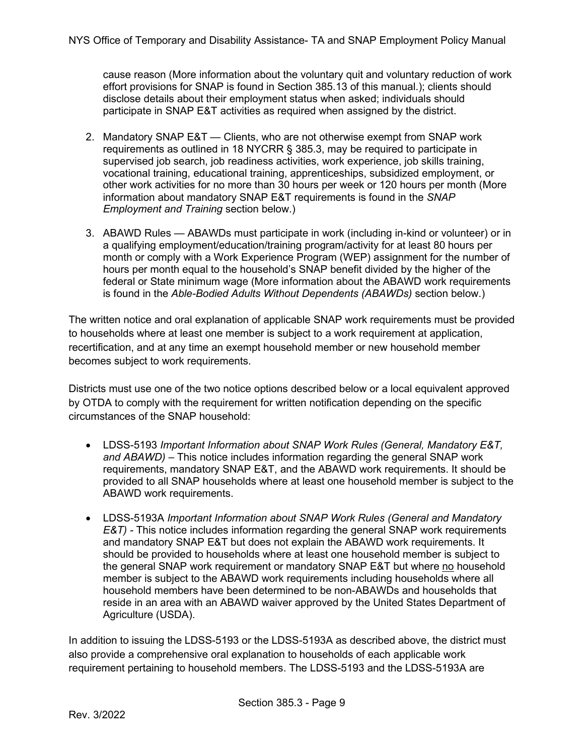cause reason (More information about the voluntary quit and voluntary reduction of work effort provisions for SNAP is found in Section 385.13 of this manual.); clients should disclose details about their employment status when asked; individuals should participate in SNAP E&T activities as required when assigned by the district.

- 2. Mandatory SNAP E&T Clients, who are not otherwise exempt from SNAP work requirements as outlined in 18 NYCRR § 385.3, may be required to participate in supervised job search, job readiness activities, work experience, job skills training, vocational training, educational training, apprenticeships, subsidized employment, or other work activities for no more than 30 hours per week or 120 hours per month (More information about mandatory SNAP E&T requirements is found in the *SNAP Employment and Training* section below.)
- 3. ABAWD Rules ABAWDs must participate in work (including in-kind or volunteer) or in a qualifying employment/education/training program/activity for at least 80 hours per month or comply with a Work Experience Program (WEP) assignment for the number of hours per month equal to the household's SNAP benefit divided by the higher of the federal or State minimum wage (More information about the ABAWD work requirements is found in the *Able-Bodied Adults Without Dependents (ABAWDs)* section below.)

The written notice and oral explanation of applicable SNAP work requirements must be provided to households where at least one member is subject to a work requirement at application, recertification, and at any time an exempt household member or new household member becomes subject to work requirements.

Districts must use one of the two notice options described below or a local equivalent approved by OTDA to comply with the requirement for written notification depending on the specific circumstances of the SNAP household:

- LDSS-5193 *Important Information about SNAP Work Rules (General, Mandatory E&T, and ABAWD) –* This notice includes information regarding the general SNAP work requirements, mandatory SNAP E&T, and the ABAWD work requirements. It should be provided to all SNAP households where at least one household member is subject to the ABAWD work requirements.
- LDSS-5193A *Important Information about SNAP Work Rules (General and Mandatory E&T*) - This notice includes information regarding the general SNAP work requirements and mandatory SNAP E&T but does not explain the ABAWD work requirements. It should be provided to households where at least one household member is subject to the general SNAP work requirement or mandatory SNAP E&T but where no household member is subject to the ABAWD work requirements including households where all household members have been determined to be non-ABAWDs and households that reside in an area with an ABAWD waiver approved by the United States Department of Agriculture (USDA).

In addition to issuing the LDSS-5193 or the LDSS-5193A as described above, the district must also provide a comprehensive oral explanation to households of each applicable work requirement pertaining to household members. The LDSS-5193 and the LDSS-5193A are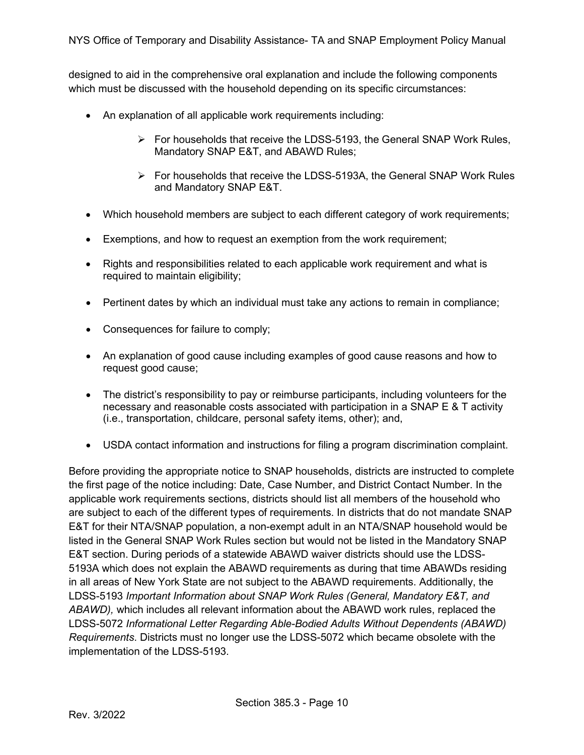designed to aid in the comprehensive oral explanation and include the following components which must be discussed with the household depending on its specific circumstances:

- An explanation of all applicable work requirements including:
	- $\triangleright$  For households that receive the LDSS-5193, the General SNAP Work Rules, Mandatory SNAP E&T, and ABAWD Rules;
	- $\triangleright$  For households that receive the LDSS-5193A, the General SNAP Work Rules and Mandatory SNAP E&T.
- Which household members are subject to each different category of work requirements;
- Exemptions, and how to request an exemption from the work requirement;
- Rights and responsibilities related to each applicable work requirement and what is required to maintain eligibility;
- Pertinent dates by which an individual must take any actions to remain in compliance;
- Consequences for failure to comply;
- An explanation of good cause including examples of good cause reasons and how to request good cause;
- The district's responsibility to pay or reimburse participants, including volunteers for the necessary and reasonable costs associated with participation in a SNAP  $E \& T$  activity (i.e., transportation, childcare, personal safety items, other); and,
- USDA contact information and instructions for filing a program discrimination complaint.

Before providing the appropriate notice to SNAP households, districts are instructed to complete the first page of the notice including: Date, Case Number, and District Contact Number. In the applicable work requirements sections, districts should list all members of the household who are subject to each of the different types of requirements. In districts that do not mandate SNAP E&T for their NTA/SNAP population, a non-exempt adult in an NTA/SNAP household would be listed in the General SNAP Work Rules section but would not be listed in the Mandatory SNAP E&T section. During periods of a statewide ABAWD waiver districts should use the LDSS-5193A which does not explain the ABAWD requirements as during that time ABAWDs residing in all areas of New York State are not subject to the ABAWD requirements. Additionally, the LDSS-5193 *Important Information about SNAP Work Rules (General, Mandatory E&T, and ABAWD),* which includes all relevant information about the ABAWD work rules, replaced the LDSS-5072 *Informational Letter Regarding Able-Bodied Adults Without Dependents (ABAWD) Requirements*. Districts must no longer use the LDSS-5072 which became obsolete with the implementation of the LDSS-5193.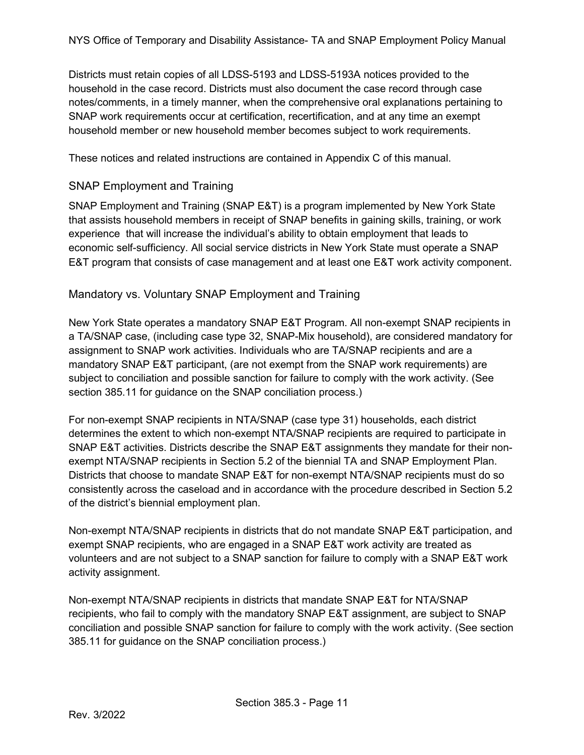Districts must retain copies of all LDSS-5193 and LDSS-5193A notices provided to the household in the case record. Districts must also document the case record through case notes/comments, in a timely manner, when the comprehensive oral explanations pertaining to SNAP work requirements occur at certification, recertification, and at any time an exempt household member or new household member becomes subject to work requirements.

These notices and related instructions are contained in Appendix C of this manual.

### SNAP Employment and Training

SNAP Employment and Training (SNAP E&T) is a program implemented by New York State that assists household members in receipt of SNAP benefits in gaining skills, training, or work experience that will increase the individual's ability to obtain employment that leads to economic self-sufficiency. All social service districts in New York State must operate a SNAP E&T program that consists of case management and at least one E&T work activity component.

### Mandatory vs. Voluntary SNAP Employment and Training

New York State operates a mandatory SNAP E&T Program. All non-exempt SNAP recipients in a TA/SNAP case, (including case type 32, SNAP-Mix household), are considered mandatory for assignment to SNAP work activities. Individuals who are TA/SNAP recipients and are a mandatory SNAP E&T participant, (are not exempt from the SNAP work requirements) are subject to conciliation and possible sanction for failure to comply with the work activity. (See section 385.11 for guidance on the SNAP conciliation process.)

For non-exempt SNAP recipients in NTA/SNAP (case type 31) households, each district determines the extent to which non-exempt NTA/SNAP recipients are required to participate in SNAP E&T activities. Districts describe the SNAP E&T assignments they mandate for their nonexempt NTA/SNAP recipients in Section 5.2 of the biennial TA and SNAP Employment Plan. Districts that choose to mandate SNAP E&T for non-exempt NTA/SNAP recipients must do so consistently across the caseload and in accordance with the procedure described in Section 5.2 of the district's biennial employment plan.

Non-exempt NTA/SNAP recipients in districts that do not mandate SNAP E&T participation, and exempt SNAP recipients, who are engaged in a SNAP E&T work activity are treated as volunteers and are not subject to a SNAP sanction for failure to comply with a SNAP E&T work activity assignment.

Non-exempt NTA/SNAP recipients in districts that mandate SNAP E&T for NTA/SNAP recipients, who fail to comply with the mandatory SNAP E&T assignment, are subject to SNAP conciliation and possible SNAP sanction for failure to comply with the work activity. (See section 385.11 for guidance on the SNAP conciliation process.)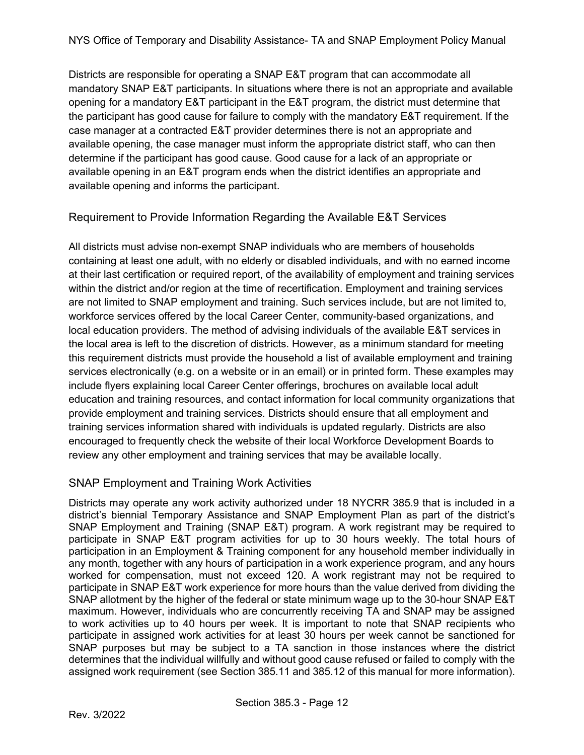Districts are responsible for operating a SNAP E&T program that can accommodate all mandatory SNAP E&T participants. In situations where there is not an appropriate and available opening for a mandatory E&T participant in the E&T program, the district must determine that the participant has good cause for failure to comply with the mandatory E&T requirement. If the case manager at a contracted E&T provider determines there is not an appropriate and available opening, the case manager must inform the appropriate district staff, who can then determine if the participant has good cause. Good cause for a lack of an appropriate or available opening in an E&T program ends when the district identifies an appropriate and available opening and informs the participant.

### Requirement to Provide Information Regarding the Available E&T Services

All districts must advise non-exempt SNAP individuals who are members of households containing at least one adult, with no elderly or disabled individuals, and with no earned income at their last certification or required report, of the availability of employment and training services within the district and/or region at the time of recertification. Employment and training services are not limited to SNAP employment and training. Such services include, but are not limited to, workforce services offered by the local Career Center, community-based organizations, and local education providers. The method of advising individuals of the available E&T services in the local area is left to the discretion of districts. However, as a minimum standard for meeting this requirement districts must provide the household a list of available employment and training services electronically (e.g. on a website or in an email) or in printed form. These examples may include flyers explaining local Career Center offerings, brochures on available local adult education and training resources, and contact information for local community organizations that provide employment and training services. Districts should ensure that all employment and training services information shared with individuals is updated regularly. Districts are also encouraged to frequently check the website of their local Workforce Development Boards to review any other employment and training services that may be available locally.

### SNAP Employment and Training Work Activities

Districts may operate any work activity authorized under 18 NYCRR 385.9 that is included in a district's biennial Temporary Assistance and SNAP Employment Plan as part of the district's SNAP Employment and Training (SNAP E&T) program. A work registrant may be required to participate in SNAP E&T program activities for up to 30 hours weekly. The total hours of participation in an Employment & Training component for any household member individually in any month, together with any hours of participation in a work experience program, and any hours worked for compensation, must not exceed 120. A work registrant may not be required to participate in SNAP E&T work experience for more hours than the value derived from dividing the SNAP allotment by the higher of the federal or state minimum wage up to the 30-hour SNAP E&T maximum. However, individuals who are concurrently receiving TA and SNAP may be assigned to work activities up to 40 hours per week. It is important to note that SNAP recipients who participate in assigned work activities for at least 30 hours per week cannot be sanctioned for SNAP purposes but may be subject to a TA sanction in those instances where the district determines that the individual willfully and without good cause refused or failed to comply with the assigned work requirement (see Section 385.11 and 385.12 of this manual for more information).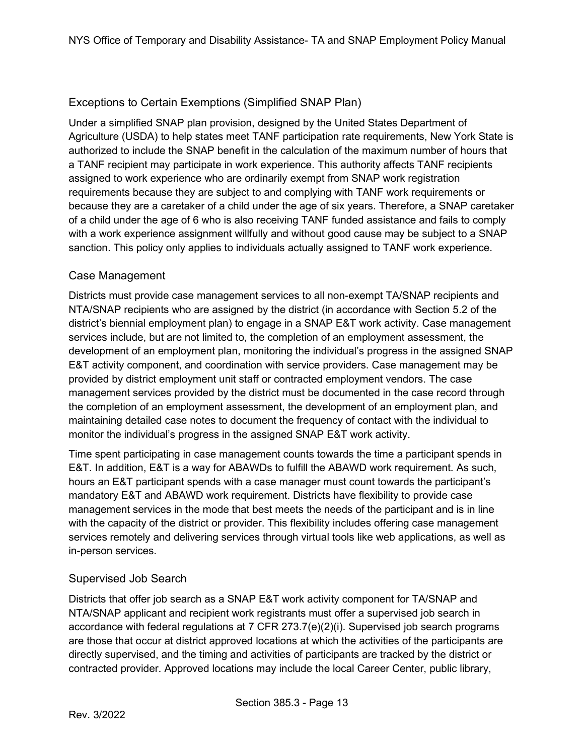### Exceptions to Certain Exemptions (Simplified SNAP Plan)

Under a simplified SNAP plan provision, designed by the United States Department of Agriculture (USDA) to help states meet TANF participation rate requirements, New York State is authorized to include the SNAP benefit in the calculation of the maximum number of hours that a TANF recipient may participate in work experience. This authority affects TANF recipients assigned to work experience who are ordinarily exempt from SNAP work registration requirements because they are subject to and complying with TANF work requirements or because they are a caretaker of a child under the age of six years. Therefore, a SNAP caretaker of a child under the age of 6 who is also receiving TANF funded assistance and fails to comply with a work experience assignment willfully and without good cause may be subject to a SNAP sanction. This policy only applies to individuals actually assigned to TANF work experience.

#### Case Management

Districts must provide case management services to all non-exempt TA/SNAP recipients and NTA/SNAP recipients who are assigned by the district (in accordance with Section 5.2 of the district's biennial employment plan) to engage in a SNAP E&T work activity. Case management services include, but are not limited to, the completion of an employment assessment, the development of an employment plan, monitoring the individual's progress in the assigned SNAP E&T activity component, and coordination with service providers. Case management may be provided by district employment unit staff or contracted employment vendors. The case management services provided by the district must be documented in the case record through the completion of an employment assessment, the development of an employment plan, and maintaining detailed case notes to document the frequency of contact with the individual to monitor the individual's progress in the assigned SNAP E&T work activity.

Time spent participating in case management counts towards the time a participant spends in E&T. In addition, E&T is a way for ABAWDs to fulfill the ABAWD work requirement. As such, hours an E&T participant spends with a case manager must count towards the participant's mandatory E&T and ABAWD work requirement. Districts have flexibility to provide case management services in the mode that best meets the needs of the participant and is in line with the capacity of the district or provider. This flexibility includes offering case management services remotely and delivering services through virtual tools like web applications, as well as in-person services.

### Supervised Job Search

Districts that offer job search as a SNAP E&T work activity component for TA/SNAP and NTA/SNAP applicant and recipient work registrants must offer a supervised job search in accordance with federal regulations at 7 CFR 273.7(e)(2)(i). Supervised job search programs are those that occur at district approved locations at which the activities of the participants are directly supervised, and the timing and activities of participants are tracked by the district or contracted provider. Approved locations may include the local Career Center, public library,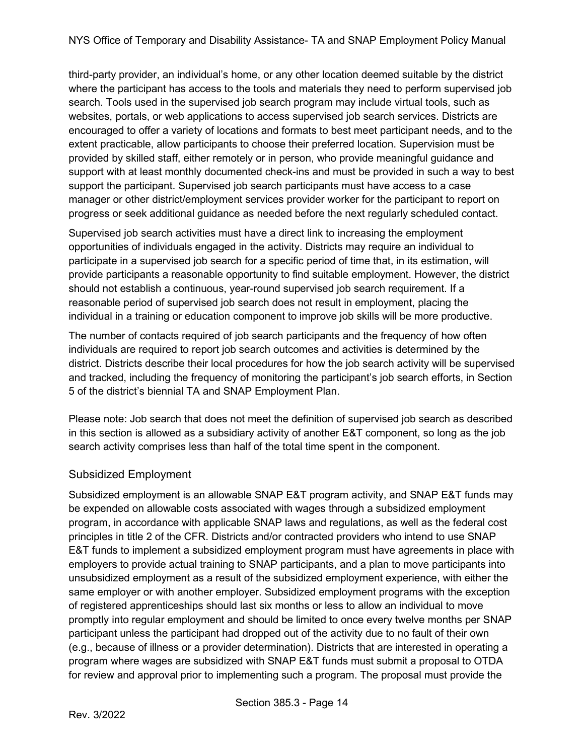third-party provider, an individual's home, or any other location deemed suitable by the district where the participant has access to the tools and materials they need to perform supervised job search. Tools used in the supervised job search program may include virtual tools, such as websites, portals, or web applications to access supervised job search services. Districts are encouraged to offer a variety of locations and formats to best meet participant needs, and to the extent practicable, allow participants to choose their preferred location. Supervision must be provided by skilled staff, either remotely or in person, who provide meaningful guidance and support with at least monthly documented check-ins and must be provided in such a way to best support the participant. Supervised job search participants must have access to a case manager or other district/employment services provider worker for the participant to report on progress or seek additional guidance as needed before the next regularly scheduled contact.

Supervised job search activities must have a direct link to increasing the employment opportunities of individuals engaged in the activity. Districts may require an individual to participate in a supervised job search for a specific period of time that, in its estimation, will provide participants a reasonable opportunity to find suitable employment. However, the district should not establish a continuous, year-round supervised job search requirement. If a reasonable period of supervised job search does not result in employment, placing the individual in a training or education component to improve job skills will be more productive.

The number of contacts required of job search participants and the frequency of how often individuals are required to report job search outcomes and activities is determined by the district. Districts describe their local procedures for how the job search activity will be supervised and tracked, including the frequency of monitoring the participant's job search efforts, in Section 5 of the district's biennial TA and SNAP Employment Plan.

Please note: Job search that does not meet the definition of supervised job search as described in this section is allowed as a subsidiary activity of another E&T component, so long as the job search activity comprises less than half of the total time spent in the component.

### Subsidized Employment

Subsidized employment is an allowable SNAP E&T program activity, and SNAP E&T funds may be expended on allowable costs associated with wages through a subsidized employment program, in accordance with applicable SNAP laws and regulations, as well as the federal cost principles in title 2 of the CFR. Districts and/or contracted providers who intend to use SNAP E&T funds to implement a subsidized employment program must have agreements in place with employers to provide actual training to SNAP participants, and a plan to move participants into unsubsidized employment as a result of the subsidized employment experience, with either the same employer or with another employer. Subsidized employment programs with the exception of registered apprenticeships should last six months or less to allow an individual to move promptly into regular employment and should be limited to once every twelve months per SNAP participant unless the participant had dropped out of the activity due to no fault of their own (e.g., because of illness or a provider determination). Districts that are interested in operating a program where wages are subsidized with SNAP E&T funds must submit a proposal to OTDA for review and approval prior to implementing such a program. The proposal must provide the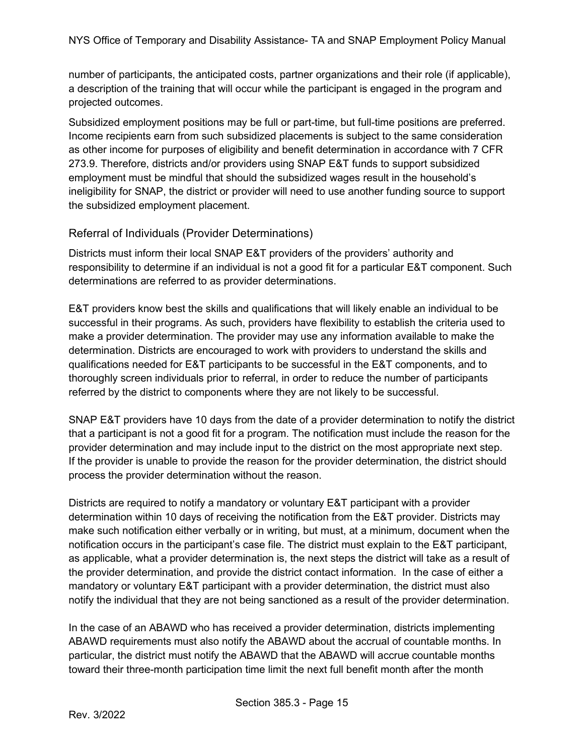number of participants, the anticipated costs, partner organizations and their role (if applicable), a description of the training that will occur while the participant is engaged in the program and projected outcomes.

Subsidized employment positions may be full or part-time, but full-time positions are preferred. Income recipients earn from such subsidized placements is subject to the same consideration as other income for purposes of eligibility and benefit determination in accordance with 7 CFR 273.9. Therefore, districts and/or providers using SNAP E&T funds to support subsidized employment must be mindful that should the subsidized wages result in the household's ineligibility for SNAP, the district or provider will need to use another funding source to support the subsidized employment placement.

#### Referral of Individuals (Provider Determinations)

Districts must inform their local SNAP E&T providers of the providers' authority and responsibility to determine if an individual is not a good fit for a particular E&T component. Such determinations are referred to as provider determinations.

E&T providers know best the skills and qualifications that will likely enable an individual to be successful in their programs. As such, providers have flexibility to establish the criteria used to make a provider determination. The provider may use any information available to make the determination. Districts are encouraged to work with providers to understand the skills and qualifications needed for E&T participants to be successful in the E&T components, and to thoroughly screen individuals prior to referral, in order to reduce the number of participants referred by the district to components where they are not likely to be successful.

SNAP E&T providers have 10 days from the date of a provider determination to notify the district that a participant is not a good fit for a program. The notification must include the reason for the provider determination and may include input to the district on the most appropriate next step. If the provider is unable to provide the reason for the provider determination, the district should process the provider determination without the reason.

Districts are required to notify a mandatory or voluntary E&T participant with a provider determination within 10 days of receiving the notification from the E&T provider. Districts may make such notification either verbally or in writing, but must, at a minimum, document when the notification occurs in the participant's case file. The district must explain to the E&T participant, as applicable, what a provider determination is, the next steps the district will take as a result of the provider determination, and provide the district contact information. In the case of either a mandatory or voluntary E&T participant with a provider determination, the district must also notify the individual that they are not being sanctioned as a result of the provider determination.

In the case of an ABAWD who has received a provider determination, districts implementing ABAWD requirements must also notify the ABAWD about the accrual of countable months. In particular, the district must notify the ABAWD that the ABAWD will accrue countable months toward their three-month participation time limit the next full benefit month after the month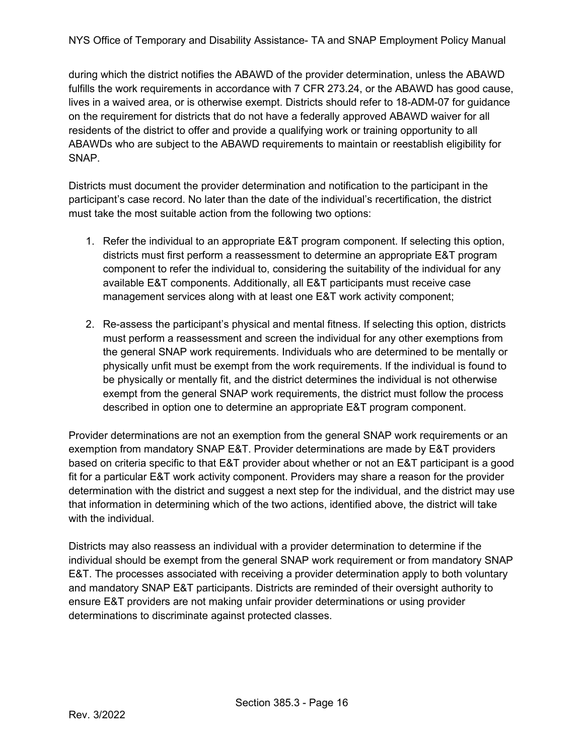during which the district notifies the ABAWD of the provider determination, unless the ABAWD fulfills the work requirements in accordance with 7 CFR 273.24, or the ABAWD has good cause, lives in a waived area, or is otherwise exempt. Districts should refer to 18-ADM-07 for guidance on the requirement for districts that do not have a federally approved ABAWD waiver for all residents of the district to offer and provide a qualifying work or training opportunity to all ABAWDs who are subject to the ABAWD requirements to maintain or reestablish eligibility for SNAP.

Districts must document the provider determination and notification to the participant in the participant's case record. No later than the date of the individual's recertification, the district must take the most suitable action from the following two options:

- 1. Refer the individual to an appropriate E&T program component. If selecting this option, districts must first perform a reassessment to determine an appropriate E&T program component to refer the individual to, considering the suitability of the individual for any available E&T components. Additionally, all E&T participants must receive case management services along with at least one E&T work activity component;
- 2. Re-assess the participant's physical and mental fitness. If selecting this option, districts must perform a reassessment and screen the individual for any other exemptions from the general SNAP work requirements. Individuals who are determined to be mentally or physically unfit must be exempt from the work requirements. If the individual is found to be physically or mentally fit, and the district determines the individual is not otherwise exempt from the general SNAP work requirements, the district must follow the process described in option one to determine an appropriate E&T program component.

Provider determinations are not an exemption from the general SNAP work requirements or an exemption from mandatory SNAP E&T. Provider determinations are made by E&T providers based on criteria specific to that E&T provider about whether or not an E&T participant is a good fit for a particular E&T work activity component. Providers may share a reason for the provider determination with the district and suggest a next step for the individual, and the district may use that information in determining which of the two actions, identified above, the district will take with the individual

Districts may also reassess an individual with a provider determination to determine if the individual should be exempt from the general SNAP work requirement or from mandatory SNAP E&T. The processes associated with receiving a provider determination apply to both voluntary and mandatory SNAP E&T participants. Districts are reminded of their oversight authority to ensure E&T providers are not making unfair provider determinations or using provider determinations to discriminate against protected classes.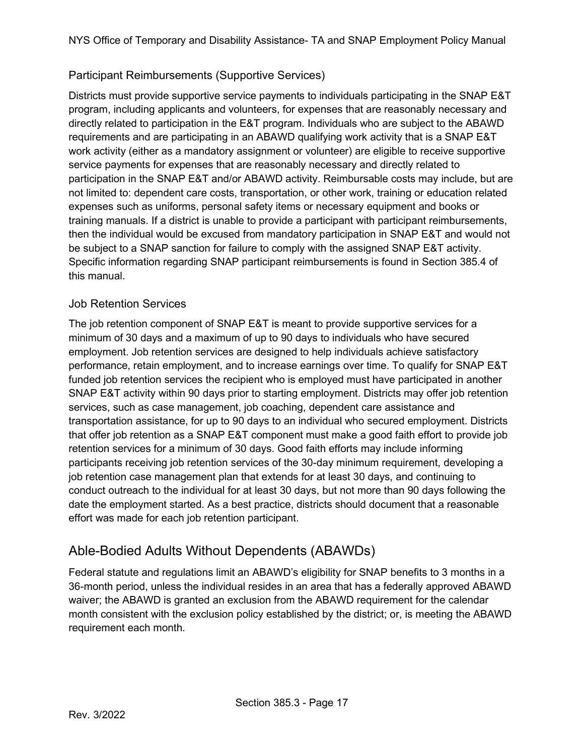### <span id="page-16-0"></span>Participant Reimbursements (Supportive Services)

Districts must provide supportive service payments to individuals participating in the SNAP E&T program, including applicants and volunteers, for expenses that are reasonably necessary and directly related to participation in the E&T program. Individuals who are subject to the ABAWD requirements and are participating in an ABAWD qualifying work activity that is a SNAP E&T work activity (either as a mandatory assignment or volunteer) are eligible to receive supportive service payments for expenses that are reasonably necessary and directly related to participation in the SNAP E&T and/or ABAWD activity. Reimbursable costs may include, but are not limited to: dependent care costs, transportation, or other work, training or education related expenses such as uniforms, personal safety items or necessary equipment and books or training manuals. If a district is unable to provide a participant with participant reimbursements, then the individual would be excused from mandatory participation in SNAP E&T and would not be subject to a SNAP sanction for failure to comply with the assigned SNAP E&T activity. Specific information regarding SNAP participant reimbursements is found in Section 385.4 of this manual.

### <span id="page-16-1"></span>Job Retention Services

The job retention component of SNAP E&T is meant to provide supportive services for a minimum of 30 days and a maximum of up to 90 days to individuals who have secured employment. Job retention services are designed to help individuals achieve satisfactory performance, retain employment, and to increase earnings over time. To qualify for SNAP E&T funded job retention services the recipient who is employed must have participated in another SNAP E&T activity within 90 days prior to starting employment. Districts may offer job retention services, such as case management, job coaching, dependent care assistance and transportation assistance, for up to 90 days to an individual who secured employment. Districts that offer job retention as a SNAP E&T component must make a good faith effort to provide job retention services for a minimum of 30 days. Good faith efforts may include informing participants receiving job retention services of the 30-day minimum requirement, developing a job retention case management plan that extends for at least 30 days, and continuing to conduct outreach to the individual for at least 30 days, but not more than 90 days following the date the employment started. As a best practice, districts should document that a reasonable effort was made for each job retention participant.

### Able-Bodied Adults Without Dependents (ABAWDs)

Federal statute and regulations limit an ABAWD's eligibility for SNAP benefits to 3 months in a 36-month period, unless the individual resides in an area that has a federally approved ABAWD waiver; the ABAWD is granted an exclusion from the ABAWD requirement for the calendar month consistent with the exclusion policy established by the district; or, is meeting the ABAWD requirement each month.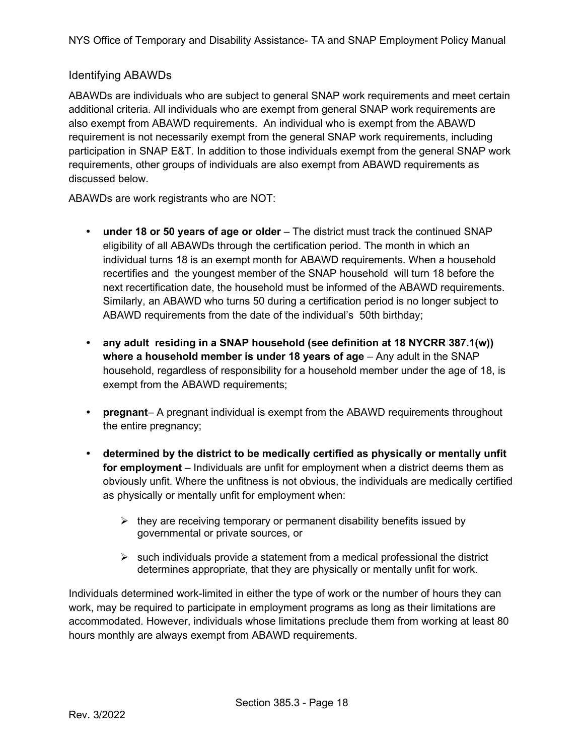### Identifying ABAWDs

ABAWDs are individuals who are subject to general SNAP work requirements and meet certain additional criteria. All individuals who are exempt from general SNAP work requirements are also exempt from ABAWD requirements. An individual who is exempt from the ABAWD requirement is not necessarily exempt from the general SNAP work requirements, including participation in SNAP E&T. In addition to those individuals exempt from the general SNAP work requirements, other groups of individuals are also exempt from ABAWD requirements as discussed below.

ABAWDs are work registrants who are NOT:

- **under 18 or 50 years of age or older** The district must track the continued SNAP eligibility of all ABAWDs through the certification period. The month in which an individual turns 18 is an exempt month for ABAWD requirements. When a household recertifies and the youngest member of the SNAP household will turn 18 before the next recertification date, the household must be informed of the ABAWD requirements. Similarly, an ABAWD who turns 50 during a certification period is no longer subject to ABAWD requirements from the date of the individual's 50th birthday;
- **any adult residing in a SNAP household (see definition at 18 NYCRR 387.1(w)) where a household member is under 18 years of age** – Any adult in the SNAP household, regardless of responsibility for a household member under the age of 18, is exempt from the ABAWD requirements:
- **pregnant** A pregnant individual is exempt from the ABAWD requirements throughout the entire pregnancy;
- **determined by the district to be medically certified as physically or mentally unfit for employment** – Individuals are unfit for employment when a district deems them as obviously unfit. Where the unfitness is not obvious, the individuals are medically certified as physically or mentally unfit for employment when:
	- $\triangleright$  they are receiving temporary or permanent disability benefits issued by governmental or private sources, or
	- $\triangleright$  such individuals provide a statement from a medical professional the district determines appropriate, that they are physically or mentally unfit for work.

Individuals determined work-limited in either the type of work or the number of hours they can work, may be required to participate in employment programs as long as their limitations are accommodated. However, individuals whose limitations preclude them from working at least 80 hours monthly are always exempt from ABAWD requirements.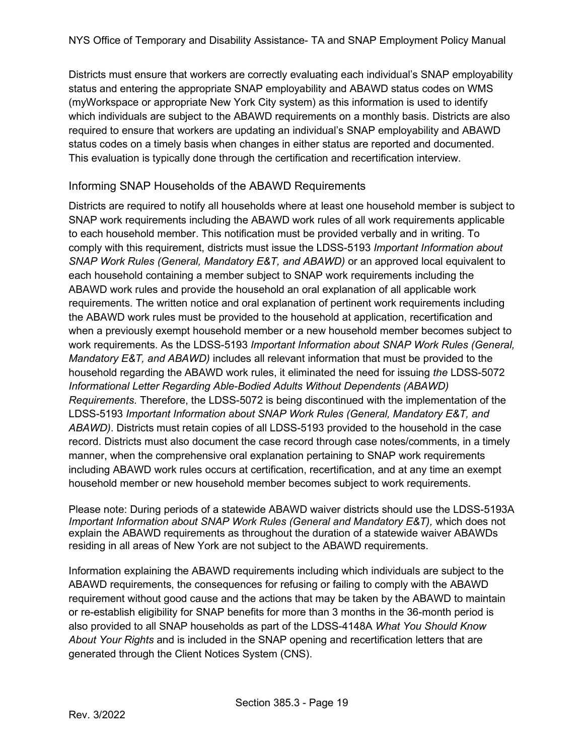Districts must ensure that workers are correctly evaluating each individual's SNAP employability status and entering the appropriate SNAP employability and ABAWD status codes on WMS (myWorkspace or appropriate New York City system) as this information is used to identify which individuals are subject to the ABAWD requirements on a monthly basis. Districts are also required to ensure that workers are updating an individual's SNAP employability and ABAWD status codes on a timely basis when changes in either status are reported and documented. This evaluation is typically done through the certification and recertification interview.

#### Informing SNAP Households of the ABAWD Requirements

Districts are required to notify all households where at least one household member is subject to SNAP work requirements including the ABAWD work rules of all work requirements applicable to each household member. This notification must be provided verbally and in writing. To comply with this requirement, districts must issue the LDSS-5193 *Important Information about SNAP Work Rules (General, Mandatory E&T, and ABAWD)* or an approved local equivalent to each household containing a member subject to SNAP work requirements including the ABAWD work rules and provide the household an oral explanation of all applicable work requirements. The written notice and oral explanation of pertinent work requirements including the ABAWD work rules must be provided to the household at application, recertification and when a previously exempt household member or a new household member becomes subject to work requirements. As the LDSS-5193 *Important Information about SNAP Work Rules (General, Mandatory E&T, and ABAWD)* includes all relevant information that must be provided to the household regarding the ABAWD work rules, it eliminated the need for issuing *the* LDSS-5072 *Informational Letter Regarding Able-Bodied Adults Without Dependents (ABAWD) Requirements*. Therefore, the LDSS-5072 is being discontinued with the implementation of the LDSS-5193 *Important Information about SNAP Work Rules (General, Mandatory E&T, and ABAWD)*. Districts must retain copies of all LDSS-5193 provided to the household in the case record. Districts must also document the case record through case notes/comments, in a timely manner, when the comprehensive oral explanation pertaining to SNAP work requirements including ABAWD work rules occurs at certification, recertification, and at any time an exempt household member or new household member becomes subject to work requirements.

Please note: During periods of a statewide ABAWD waiver districts should use the LDSS-5193A *Important Information about SNAP Work Rules (General and Mandatory E&T),* which does not explain the ABAWD requirements as throughout the duration of a statewide waiver ABAWDs residing in all areas of New York are not subject to the ABAWD requirements.

Information explaining the ABAWD requirements including which individuals are subject to the ABAWD requirements, the consequences for refusing or failing to comply with the ABAWD requirement without good cause and the actions that may be taken by the ABAWD to maintain or re-establish eligibility for SNAP benefits for more than 3 months in the 36-month period is also provided to all SNAP households as part of the LDSS-4148A *What You Should Know About Your Rights* and is included in the SNAP opening and recertification letters that are generated through the Client Notices System (CNS).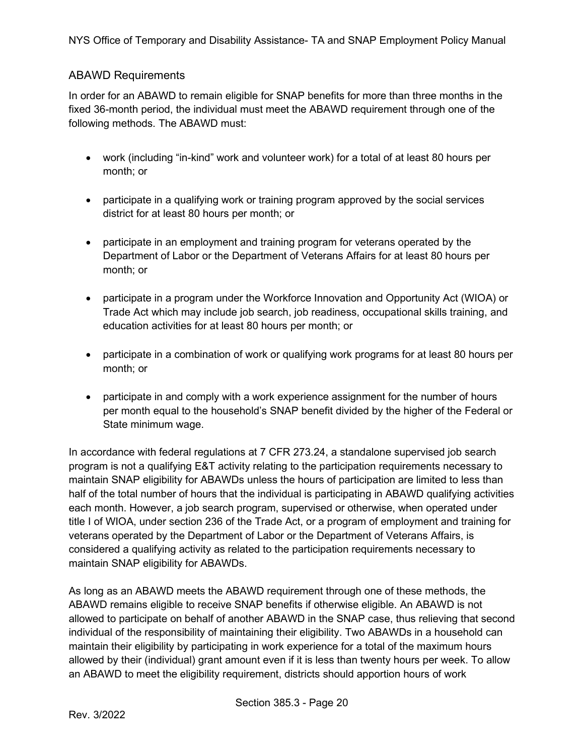### ABAWD Requirements

In order for an ABAWD to remain eligible for SNAP benefits for more than three months in the fixed 36-month period, the individual must meet the ABAWD requirement through one of the following methods. The ABAWD must:

- work (including "in-kind" work and volunteer work) for a total of at least 80 hours per month; or
- participate in a qualifying work or training program approved by the social services district for at least 80 hours per month; or
- participate in an employment and training program for veterans operated by the Department of Labor or the Department of Veterans Affairs for at least 80 hours per month; or
- participate in a program under the Workforce Innovation and Opportunity Act (WIOA) or Trade Act which may include job search, job readiness, occupational skills training, and education activities for at least 80 hours per month; or
- participate in a combination of work or qualifying work programs for at least 80 hours per month; or
- participate in and comply with a work experience assignment for the number of hours per month equal to the household's SNAP benefit divided by the higher of the Federal or State minimum wage.

In accordance with federal regulations at 7 CFR 273.24, a standalone supervised job search program is not a qualifying E&T activity relating to the participation requirements necessary to maintain SNAP eligibility for ABAWDs unless the hours of participation are limited to less than half of the total number of hours that the individual is participating in ABAWD qualifying activities each month. However, a job search program, supervised or otherwise, when operated under title I of WIOA, under section 236 of the Trade Act, or a program of employment and training for veterans operated by the Department of Labor or the Department of Veterans Affairs, is considered a qualifying activity as related to the participation requirements necessary to maintain SNAP eligibility for ABAWDs.

As long as an ABAWD meets the ABAWD requirement through one of these methods, the ABAWD remains eligible to receive SNAP benefits if otherwise eligible. An ABAWD is not allowed to participate on behalf of another ABAWD in the SNAP case, thus relieving that second individual of the responsibility of maintaining their eligibility. Two ABAWDs in a household can maintain their eligibility by participating in work experience for a total of the maximum hours allowed by their (individual) grant amount even if it is less than twenty hours per week. To allow an ABAWD to meet the eligibility requirement, districts should apportion hours of work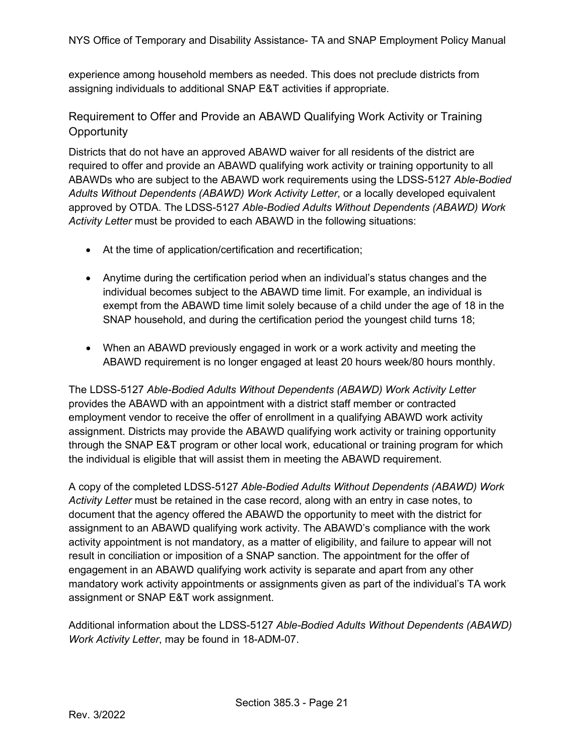experience among household members as needed. This does not preclude districts from assigning individuals to additional SNAP E&T activities if appropriate.

Requirement to Offer and Provide an ABAWD Qualifying Work Activity or Training **Opportunity** 

Districts that do not have an approved ABAWD waiver for all residents of the district are required to offer and provide an ABAWD qualifying work activity or training opportunity to all ABAWDs who are subject to the ABAWD work requirements using the LDSS-5127 *Able-Bodied Adults Without Dependents (ABAWD) Work Activity Letter*, or a locally developed equivalent approved by OTDA. The LDSS-5127 *Able-Bodied Adults Without Dependents (ABAWD) Work Activity Letter* must be provided to each ABAWD in the following situations:

- At the time of application/certification and recertification;
- Anytime during the certification period when an individual's status changes and the individual becomes subject to the ABAWD time limit. For example, an individual is exempt from the ABAWD time limit solely because of a child under the age of 18 in the SNAP household, and during the certification period the youngest child turns 18;
- When an ABAWD previously engaged in work or a work activity and meeting the ABAWD requirement is no longer engaged at least 20 hours week/80 hours monthly.

The LDSS-5127 *Able-Bodied Adults Without Dependents (ABAWD) Work Activity Letter*  provides the ABAWD with an appointment with a district staff member or contracted employment vendor to receive the offer of enrollment in a qualifying ABAWD work activity assignment. Districts may provide the ABAWD qualifying work activity or training opportunity through the SNAP E&T program or other local work, educational or training program for which the individual is eligible that will assist them in meeting the ABAWD requirement.

A copy of the completed LDSS-5127 *Able-Bodied Adults Without Dependents (ABAWD) Work Activity Letter* must be retained in the case record, along with an entry in case notes, to document that the agency offered the ABAWD the opportunity to meet with the district for assignment to an ABAWD qualifying work activity. The ABAWD's compliance with the work activity appointment is not mandatory, as a matter of eligibility, and failure to appear will not result in conciliation or imposition of a SNAP sanction. The appointment for the offer of engagement in an ABAWD qualifying work activity is separate and apart from any other mandatory work activity appointments or assignments given as part of the individual's TA work assignment or SNAP E&T work assignment.

Additional information about the LDSS-5127 *Able-Bodied Adults Without Dependents (ABAWD) Work Activity Letter*, may be found in 18-ADM-07.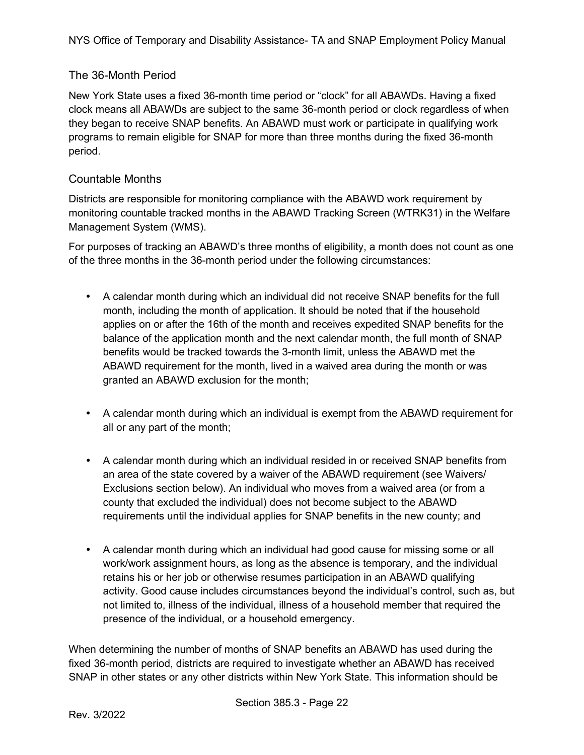### The 36-Month Period

New York State uses a fixed 36-month time period or "clock" for all ABAWDs. Having a fixed clock means all ABAWDs are subject to the same 36-month period or clock regardless of when they began to receive SNAP benefits. An ABAWD must work or participate in qualifying work programs to remain eligible for SNAP for more than three months during the fixed 36-month period.

### Countable Months

Districts are responsible for monitoring compliance with the ABAWD work requirement by monitoring countable tracked months in the ABAWD Tracking Screen (WTRK31) in the Welfare Management System (WMS).

For purposes of tracking an ABAWD's three months of eligibility, a month does not count as one of the three months in the 36-month period under the following circumstances:

- A calendar month during which an individual did not receive SNAP benefits for the full month, including the month of application. It should be noted that if the household applies on or after the 16th of the month and receives expedited SNAP benefits for the balance of the application month and the next calendar month, the full month of SNAP benefits would be tracked towards the 3-month limit, unless the ABAWD met the ABAWD requirement for the month, lived in a waived area during the month or was granted an ABAWD exclusion for the month;
- A calendar month during which an individual is exempt from the ABAWD requirement for all or any part of the month;
- A calendar month during which an individual resided in or received SNAP benefits from an area of the state covered by a waiver of the ABAWD requirement (see Waivers/ Exclusions section below). An individual who moves from a waived area (or from a county that excluded the individual) does not become subject to the ABAWD requirements until the individual applies for SNAP benefits in the new county; and
- A calendar month during which an individual had good cause for missing some or all work/work assignment hours, as long as the absence is temporary, and the individual retains his or her job or otherwise resumes participation in an ABAWD qualifying activity. Good cause includes circumstances beyond the individual's control, such as, but not limited to, illness of the individual, illness of a household member that required the presence of the individual, or a household emergency.

When determining the number of months of SNAP benefits an ABAWD has used during the fixed 36-month period, districts are required to investigate whether an ABAWD has received SNAP in other states or any other districts within New York State. This information should be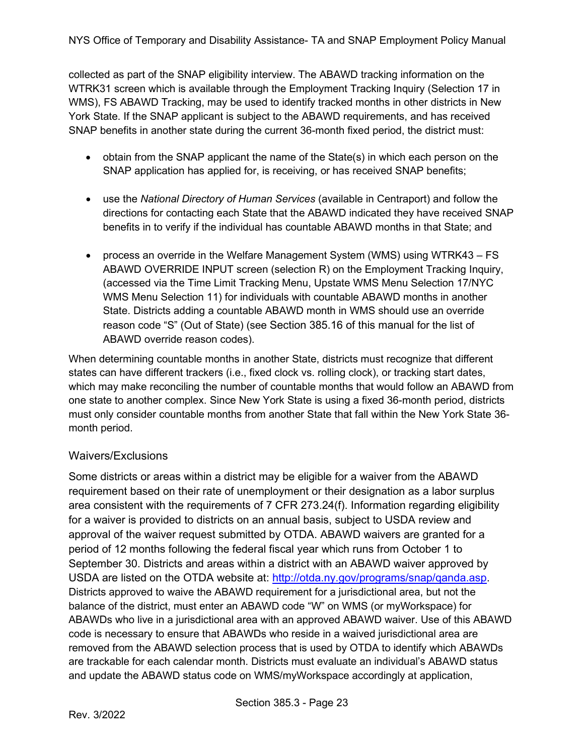collected as part of the SNAP eligibility interview. The ABAWD tracking information on the WTRK31 screen which is available through the Employment Tracking Inquiry (Selection 17 in WMS), FS ABAWD Tracking, may be used to identify tracked months in other districts in New York State. If the SNAP applicant is subject to the ABAWD requirements, and has received SNAP benefits in another state during the current 36-month fixed period, the district must:

- obtain from the SNAP applicant the name of the State(s) in which each person on the SNAP application has applied for, is receiving, or has received SNAP benefits;
- use the *National Directory of Human Services* (available in Centraport) and follow the directions for contacting each State that the ABAWD indicated they have received SNAP benefits in to verify if the individual has countable ABAWD months in that State; and
- process an override in the Welfare Management System (WMS) using WTRK43 FS ABAWD OVERRIDE INPUT screen (selection R) on the Employment Tracking Inquiry, (accessed via the Time Limit Tracking Menu, Upstate WMS Menu Selection 17/NYC WMS Menu Selection 11) for individuals with countable ABAWD months in another State. Districts adding a countable ABAWD month in WMS should use an override reason code "S" (Out of State) (see Section 385.16 of this manual for the list of ABAWD override reason codes).

When determining countable months in another State, districts must recognize that different states can have different trackers (i.e., fixed clock vs. rolling clock), or tracking start dates, which may make reconciling the number of countable months that would follow an ABAWD from one state to another complex. Since New York State is using a fixed 36-month period, districts must only consider countable months from another State that fall within the New York State 36 month period.

### Waivers/Exclusions

Some districts or areas within a district may be eligible for a waiver from the ABAWD requirement based on their rate of unemployment or their designation as a labor surplus area consistent with the requirements of 7 CFR 273.24(f). Information regarding eligibility for a waiver is provided to districts on an annual basis, subject to USDA review and approval of the waiver request submitted by OTDA. ABAWD waivers are granted for a period of 12 months following the federal fiscal year which runs from October 1 to September 30. Districts and areas within a district with an ABAWD waiver approved by USDA are listed on the OTDA website at: [http://otda.ny.gov/programs/snap/qanda.asp.](http://otda.ny.gov/programs/snap/qanda.asp) Districts approved to waive the ABAWD requirement for a jurisdictional area, but not the balance of the district, must enter an ABAWD code "W" on WMS (or myWorkspace) for ABAWDs who live in a jurisdictional area with an approved ABAWD waiver. Use of this ABAWD code is necessary to ensure that ABAWDs who reside in a waived jurisdictional area are removed from the ABAWD selection process that is used by OTDA to identify which ABAWDs are trackable for each calendar month. Districts must evaluate an individual's ABAWD status and update the ABAWD status code on WMS/myWorkspace accordingly at application,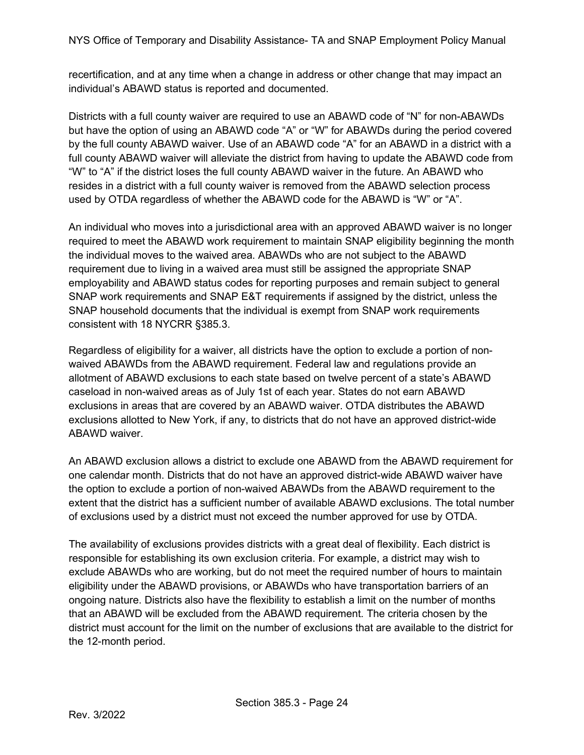NYS Office of Temporary and Disability Assistance- TA and SNAP Employment Policy Manual

recertification, and at any time when a change in address or other change that may impact an individual's ABAWD status is reported and documented.

Districts with a full county waiver are required to use an ABAWD code of "N" for non-ABAWDs but have the option of using an ABAWD code "A" or "W" for ABAWDs during the period covered by the full county ABAWD waiver. Use of an ABAWD code "A" for an ABAWD in a district with a full county ABAWD waiver will alleviate the district from having to update the ABAWD code from "W" to "A" if the district loses the full county ABAWD waiver in the future. An ABAWD who resides in a district with a full county waiver is removed from the ABAWD selection process used by OTDA regardless of whether the ABAWD code for the ABAWD is "W" or "A".

An individual who moves into a jurisdictional area with an approved ABAWD waiver is no longer required to meet the ABAWD work requirement to maintain SNAP eligibility beginning the month the individual moves to the waived area. ABAWDs who are not subject to the ABAWD requirement due to living in a waived area must still be assigned the appropriate SNAP employability and ABAWD status codes for reporting purposes and remain subject to general SNAP work requirements and SNAP E&T requirements if assigned by the district, unless the SNAP household documents that the individual is exempt from SNAP work requirements consistent with 18 NYCRR §385.3.

Regardless of eligibility for a waiver, all districts have the option to exclude a portion of nonwaived ABAWDs from the ABAWD requirement. Federal law and regulations provide an allotment of ABAWD exclusions to each state based on twelve percent of a state's ABAWD caseload in non-waived areas as of July 1st of each year. States do not earn ABAWD exclusions in areas that are covered by an ABAWD waiver. OTDA distributes the ABAWD exclusions allotted to New York, if any, to districts that do not have an approved district-wide ABAWD waiver.

An ABAWD exclusion allows a district to exclude one ABAWD from the ABAWD requirement for one calendar month. Districts that do not have an approved district-wide ABAWD waiver have the option to exclude a portion of non-waived ABAWDs from the ABAWD requirement to the extent that the district has a sufficient number of available ABAWD exclusions. The total number of exclusions used by a district must not exceed the number approved for use by OTDA.

The availability of exclusions provides districts with a great deal of flexibility. Each district is responsible for establishing its own exclusion criteria. For example, a district may wish to exclude ABAWDs who are working, but do not meet the required number of hours to maintain eligibility under the ABAWD provisions, or ABAWDs who have transportation barriers of an ongoing nature. Districts also have the flexibility to establish a limit on the number of months that an ABAWD will be excluded from the ABAWD requirement. The criteria chosen by the district must account for the limit on the number of exclusions that are available to the district for the 12-month period.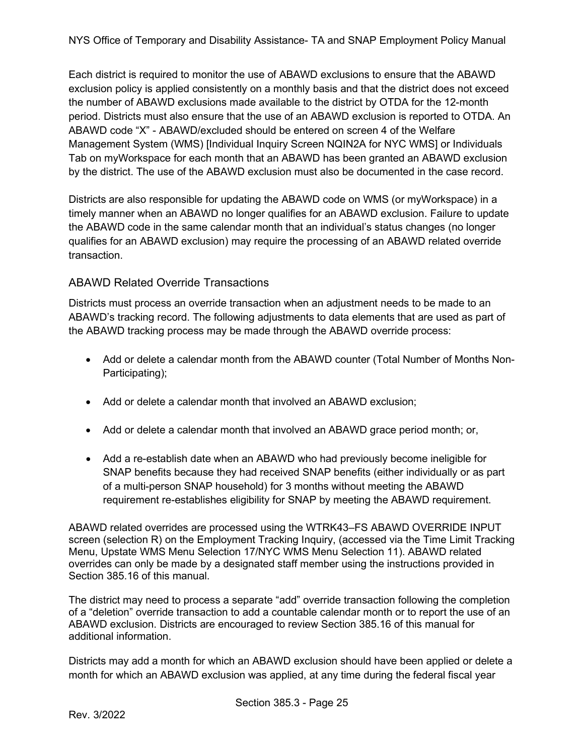Each district is required to monitor the use of ABAWD exclusions to ensure that the ABAWD exclusion policy is applied consistently on a monthly basis and that the district does not exceed the number of ABAWD exclusions made available to the district by OTDA for the 12-month period. Districts must also ensure that the use of an ABAWD exclusion is reported to OTDA. An ABAWD code "X" - ABAWD/excluded should be entered on screen 4 of the Welfare Management System (WMS) [Individual Inquiry Screen NQIN2A for NYC WMS] or Individuals Tab on myWorkspace for each month that an ABAWD has been granted an ABAWD exclusion by the district. The use of the ABAWD exclusion must also be documented in the case record.

Districts are also responsible for updating the ABAWD code on WMS (or myWorkspace) in a timely manner when an ABAWD no longer qualifies for an ABAWD exclusion. Failure to update the ABAWD code in the same calendar month that an individual's status changes (no longer qualifies for an ABAWD exclusion) may require the processing of an ABAWD related override transaction.

### ABAWD Related Override Transactions

Districts must process an override transaction when an adjustment needs to be made to an ABAWD's tracking record. The following adjustments to data elements that are used as part of the ABAWD tracking process may be made through the ABAWD override process:

- Add or delete a calendar month from the ABAWD counter (Total Number of Months Non-Participating);
- Add or delete a calendar month that involved an ABAWD exclusion;
- Add or delete a calendar month that involved an ABAWD grace period month; or,
- Add a re-establish date when an ABAWD who had previously become ineligible for SNAP benefits because they had received SNAP benefits (either individually or as part of a multi-person SNAP household) for 3 months without meeting the ABAWD requirement re-establishes eligibility for SNAP by meeting the ABAWD requirement.

ABAWD related overrides are processed using the WTRK43–FS ABAWD OVERRIDE INPUT screen (selection R) on the Employment Tracking Inquiry, (accessed via the Time Limit Tracking Menu, Upstate WMS Menu Selection 17/NYC WMS Menu Selection 11). ABAWD related overrides can only be made by a designated staff member using the instructions provided in Section 385.16 of this manual.

The district may need to process a separate "add" override transaction following the completion of a "deletion" override transaction to add a countable calendar month or to report the use of an ABAWD exclusion. Districts are encouraged to review Section 385.16 of this manual for additional information.

Districts may add a month for which an ABAWD exclusion should have been applied or delete a month for which an ABAWD exclusion was applied, at any time during the federal fiscal year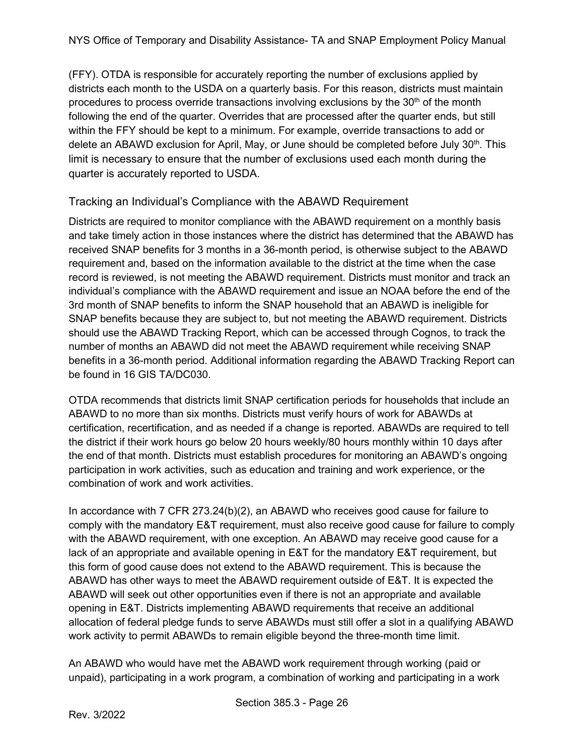(FFY). OTDA is responsible for accurately reporting the number of exclusions applied by districts each month to the USDA on a quarterly basis. For this reason, districts must maintain procedures to process override transactions involving exclusions by the  $30<sup>th</sup>$  of the month following the end of the quarter. Overrides that are processed after the quarter ends, but still within the FFY should be kept to a minimum. For example, override transactions to add or delete an ABAWD exclusion for April, May, or June should be completed before July  $30<sup>th</sup>$ . This limit is necessary to ensure that the number of exclusions used each month during the quarter is accurately reported to USDA.

### Tracking an Individual's Compliance with the ABAWD Requirement

Districts are required to monitor compliance with the ABAWD requirement on a monthly basis and take timely action in those instances where the district has determined that the ABAWD has received SNAP benefits for 3 months in a 36-month period, is otherwise subject to the ABAWD requirement and, based on the information available to the district at the time when the case record is reviewed, is not meeting the ABAWD requirement. Districts must monitor and track an individual's compliance with the ABAWD requirement and issue an NOAA before the end of the 3rd month of SNAP benefits to inform the SNAP household that an ABAWD is ineligible for SNAP benefits because they are subject to, but not meeting the ABAWD requirement. Districts should use the ABAWD Tracking Report, which can be accessed through Cognos, to track the number of months an ABAWD did not meet the ABAWD requirement while receiving SNAP benefits in a 36-month period. Additional information regarding the ABAWD Tracking Report can be found in 16 GIS TA/DC030.

OTDA recommends that districts limit SNAP certification periods for households that include an ABAWD to no more than six months. Districts must verify hours of work for ABAWDs at certification, recertification, and as needed if a change is reported. ABAWDs are required to tell the district if their work hours go below 20 hours weekly/80 hours monthly within 10 days after the end of that month. Districts must establish procedures for monitoring an ABAWD's ongoing participation in work activities, such as education and training and work experience, or the combination of work and work activities.

In accordance with 7 CFR 273.24(b)(2), an ABAWD who receives good cause for failure to comply with the mandatory E&T requirement, must also receive good cause for failure to comply with the ABAWD requirement, with one exception. An ABAWD may receive good cause for a lack of an appropriate and available opening in E&T for the mandatory E&T requirement, but this form of good cause does not extend to the ABAWD requirement. This is because the ABAWD has other ways to meet the ABAWD requirement outside of E&T. It is expected the ABAWD will seek out other opportunities even if there is not an appropriate and available opening in E&T. Districts implementing ABAWD requirements that receive an additional allocation of federal pledge funds to serve ABAWDs must still offer a slot in a qualifying ABAWD work activity to permit ABAWDs to remain eligible beyond the three-month time limit.

An ABAWD who would have met the ABAWD work requirement through working (paid or unpaid), participating in a work program, a combination of working and participating in a work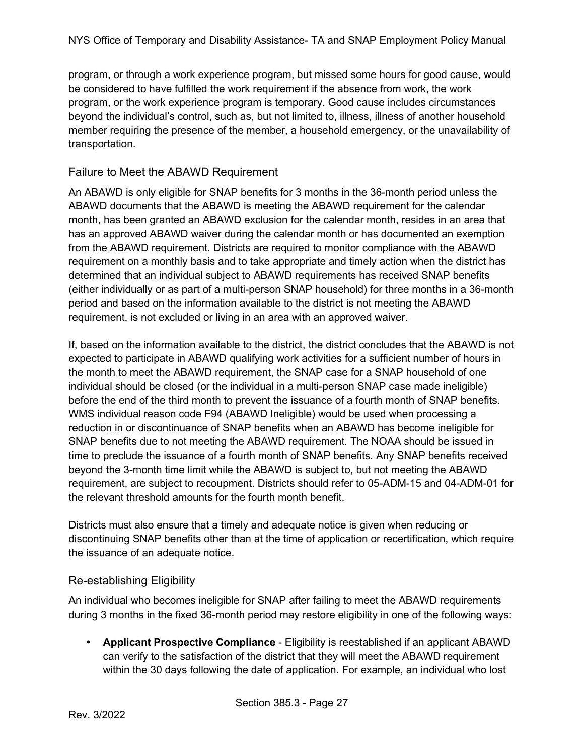program, or through a work experience program, but missed some hours for good cause, would be considered to have fulfilled the work requirement if the absence from work, the work program, or the work experience program is temporary. Good cause includes circumstances beyond the individual's control, such as, but not limited to, illness, illness of another household member requiring the presence of the member, a household emergency, or the unavailability of transportation.

#### Failure to Meet the ABAWD Requirement

An ABAWD is only eligible for SNAP benefits for 3 months in the 36-month period unless the ABAWD documents that the ABAWD is meeting the ABAWD requirement for the calendar month, has been granted an ABAWD exclusion for the calendar month, resides in an area that has an approved ABAWD waiver during the calendar month or has documented an exemption from the ABAWD requirement. Districts are required to monitor compliance with the ABAWD requirement on a monthly basis and to take appropriate and timely action when the district has determined that an individual subject to ABAWD requirements has received SNAP benefits (either individually or as part of a multi-person SNAP household) for three months in a 36-month period and based on the information available to the district is not meeting the ABAWD requirement, is not excluded or living in an area with an approved waiver.

If, based on the information available to the district, the district concludes that the ABAWD is not expected to participate in ABAWD qualifying work activities for a sufficient number of hours in the month to meet the ABAWD requirement, the SNAP case for a SNAP household of one individual should be closed (or the individual in a multi-person SNAP case made ineligible) before the end of the third month to prevent the issuance of a fourth month of SNAP benefits. WMS individual reason code F94 (ABAWD Ineligible) would be used when processing a reduction in or discontinuance of SNAP benefits when an ABAWD has become ineligible for SNAP benefits due to not meeting the ABAWD requirement. The NOAA should be issued in time to preclude the issuance of a fourth month of SNAP benefits. Any SNAP benefits received beyond the 3-month time limit while the ABAWD is subject to, but not meeting the ABAWD requirement, are subject to recoupment. Districts should refer to 05-ADM-15 and 04-ADM-01 for the relevant threshold amounts for the fourth month benefit.

Districts must also ensure that a timely and adequate notice is given when reducing or discontinuing SNAP benefits other than at the time of application or recertification, which require the issuance of an adequate notice.

### Re-establishing Eligibility

An individual who becomes ineligible for SNAP after failing to meet the ABAWD requirements during 3 months in the fixed 36-month period may restore eligibility in one of the following ways:

 **Applicant Prospective Compliance** - Eligibility is reestablished if an applicant ABAWD can verify to the satisfaction of the district that they will meet the ABAWD requirement within the 30 days following the date of application. For example, an individual who lost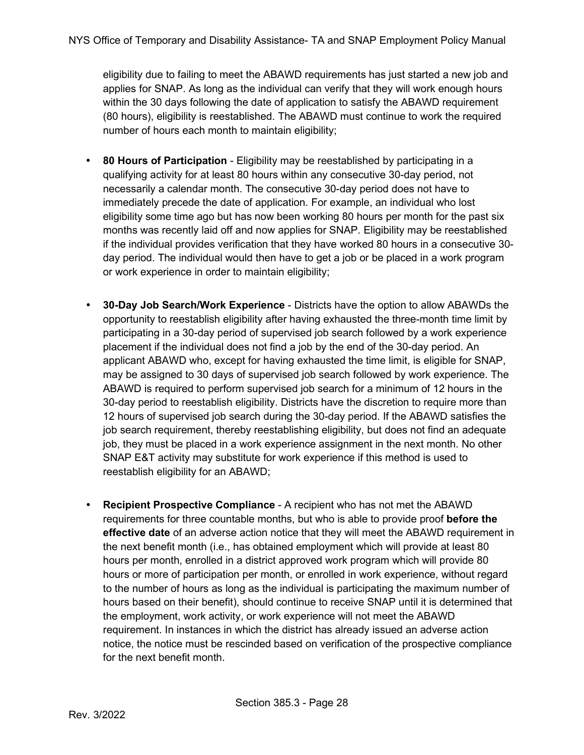eligibility due to failing to meet the ABAWD requirements has just started a new job and applies for SNAP. As long as the individual can verify that they will work enough hours within the 30 days following the date of application to satisfy the ABAWD requirement (80 hours), eligibility is reestablished. The ABAWD must continue to work the required number of hours each month to maintain eligibility;

- **80 Hours of Participation** Eligibility may be reestablished by participating in a qualifying activity for at least 80 hours within any consecutive 30-day period, not necessarily a calendar month. The consecutive 30-day period does not have to immediately precede the date of application. For example, an individual who lost eligibility some time ago but has now been working 80 hours per month for the past six months was recently laid off and now applies for SNAP. Eligibility may be reestablished if the individual provides verification that they have worked 80 hours in a consecutive 30 day period. The individual would then have to get a job or be placed in a work program or work experience in order to maintain eligibility;
- **30-Day Job Search/Work Experience** Districts have the option to allow ABAWDs the opportunity to reestablish eligibility after having exhausted the three-month time limit by participating in a 30-day period of supervised job search followed by a work experience placement if the individual does not find a job by the end of the 30-day period. An applicant ABAWD who, except for having exhausted the time limit, is eligible for SNAP, may be assigned to 30 days of supervised job search followed by work experience. The ABAWD is required to perform supervised job search for a minimum of 12 hours in the 30-day period to reestablish eligibility. Districts have the discretion to require more than 12 hours of supervised job search during the 30-day period. If the ABAWD satisfies the job search requirement, thereby reestablishing eligibility, but does not find an adequate job, they must be placed in a work experience assignment in the next month. No other SNAP E&T activity may substitute for work experience if this method is used to reestablish eligibility for an ABAWD;
- **Recipient Prospective Compliance** A recipient who has not met the ABAWD requirements for three countable months, but who is able to provide proof **before the effective date** of an adverse action notice that they will meet the ABAWD requirement in the next benefit month (i.e., has obtained employment which will provide at least 80 hours per month, enrolled in a district approved work program which will provide 80 hours or more of participation per month, or enrolled in work experience, without regard to the number of hours as long as the individual is participating the maximum number of hours based on their benefit), should continue to receive SNAP until it is determined that the employment, work activity, or work experience will not meet the ABAWD requirement. In instances in which the district has already issued an adverse action notice, the notice must be rescinded based on verification of the prospective compliance for the next benefit month.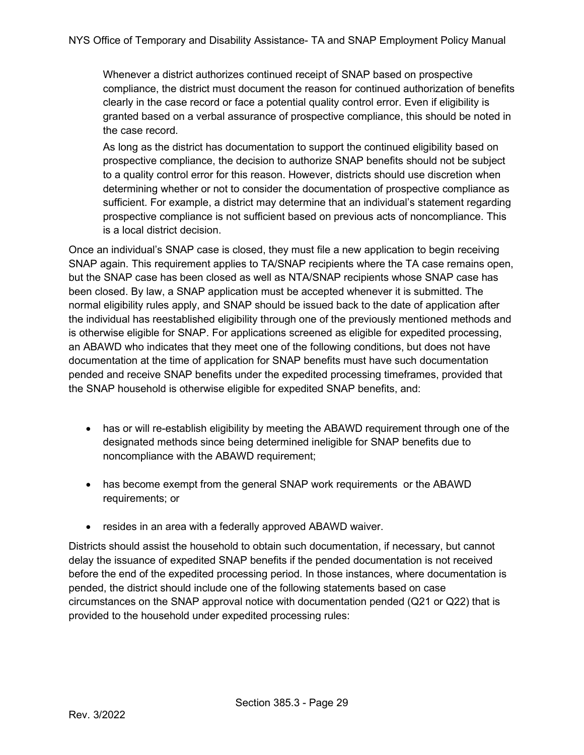Whenever a district authorizes continued receipt of SNAP based on prospective compliance, the district must document the reason for continued authorization of benefits clearly in the case record or face a potential quality control error. Even if eligibility is granted based on a verbal assurance of prospective compliance, this should be noted in the case record.

As long as the district has documentation to support the continued eligibility based on prospective compliance, the decision to authorize SNAP benefits should not be subject to a quality control error for this reason. However, districts should use discretion when determining whether or not to consider the documentation of prospective compliance as sufficient. For example, a district may determine that an individual's statement regarding prospective compliance is not sufficient based on previous acts of noncompliance. This is a local district decision.

Once an individual's SNAP case is closed, they must file a new application to begin receiving SNAP again. This requirement applies to TA/SNAP recipients where the TA case remains open, but the SNAP case has been closed as well as NTA/SNAP recipients whose SNAP case has been closed. By law, a SNAP application must be accepted whenever it is submitted. The normal eligibility rules apply, and SNAP should be issued back to the date of application after the individual has reestablished eligibility through one of the previously mentioned methods and is otherwise eligible for SNAP. For applications screened as eligible for expedited processing, an ABAWD who indicates that they meet one of the following conditions, but does not have documentation at the time of application for SNAP benefits must have such documentation pended and receive SNAP benefits under the expedited processing timeframes, provided that the SNAP household is otherwise eligible for expedited SNAP benefits, and:

- has or will re-establish eligibility by meeting the ABAWD requirement through one of the designated methods since being determined ineligible for SNAP benefits due to noncompliance with the ABAWD requirement;
- has become exempt from the general SNAP work requirements or the ABAWD requirements; or
- resides in an area with a federally approved ABAWD waiver.

Districts should assist the household to obtain such documentation, if necessary, but cannot delay the issuance of expedited SNAP benefits if the pended documentation is not received before the end of the expedited processing period. In those instances, where documentation is pended, the district should include one of the following statements based on case circumstances on the SNAP approval notice with documentation pended (Q21 or Q22) that is provided to the household under expedited processing rules: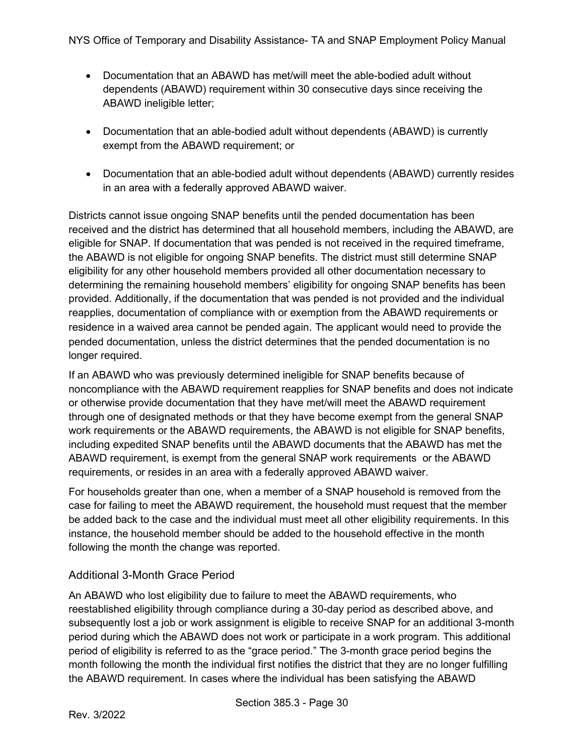- Documentation that an ABAWD has met/will meet the able-bodied adult without dependents (ABAWD) requirement within 30 consecutive days since receiving the ABAWD ineligible letter;
- Documentation that an able-bodied adult without dependents (ABAWD) is currently exempt from the ABAWD requirement; or
- Documentation that an able-bodied adult without dependents (ABAWD) currently resides in an area with a federally approved ABAWD waiver.

Districts cannot issue ongoing SNAP benefits until the pended documentation has been received and the district has determined that all household members, including the ABAWD, are eligible for SNAP. If documentation that was pended is not received in the required timeframe, the ABAWD is not eligible for ongoing SNAP benefits. The district must still determine SNAP eligibility for any other household members provided all other documentation necessary to determining the remaining household members' eligibility for ongoing SNAP benefits has been provided. Additionally, if the documentation that was pended is not provided and the individual reapplies, documentation of compliance with or exemption from the ABAWD requirements or residence in a waived area cannot be pended again. The applicant would need to provide the pended documentation, unless the district determines that the pended documentation is no longer required.

If an ABAWD who was previously determined ineligible for SNAP benefits because of noncompliance with the ABAWD requirement reapplies for SNAP benefits and does not indicate or otherwise provide documentation that they have met/will meet the ABAWD requirement through one of designated methods or that they have become exempt from the general SNAP work requirements or the ABAWD requirements, the ABAWD is not eligible for SNAP benefits, including expedited SNAP benefits until the ABAWD documents that the ABAWD has met the ABAWD requirement, is exempt from the general SNAP work requirements or the ABAWD requirements, or resides in an area with a federally approved ABAWD waiver.

For households greater than one, when a member of a SNAP household is removed from the case for failing to meet the ABAWD requirement, the household must request that the member be added back to the case and the individual must meet all other eligibility requirements. In this instance, the household member should be added to the household effective in the month following the month the change was reported.

### Additional 3-Month Grace Period

An ABAWD who lost eligibility due to failure to meet the ABAWD requirements, who reestablished eligibility through compliance during a 30-day period as described above, and subsequently lost a job or work assignment is eligible to receive SNAP for an additional 3-month period during which the ABAWD does not work or participate in a work program. This additional period of eligibility is referred to as the "grace period." The 3-month grace period begins the month following the month the individual first notifies the district that they are no longer fulfilling the ABAWD requirement. In cases where the individual has been satisfying the ABAWD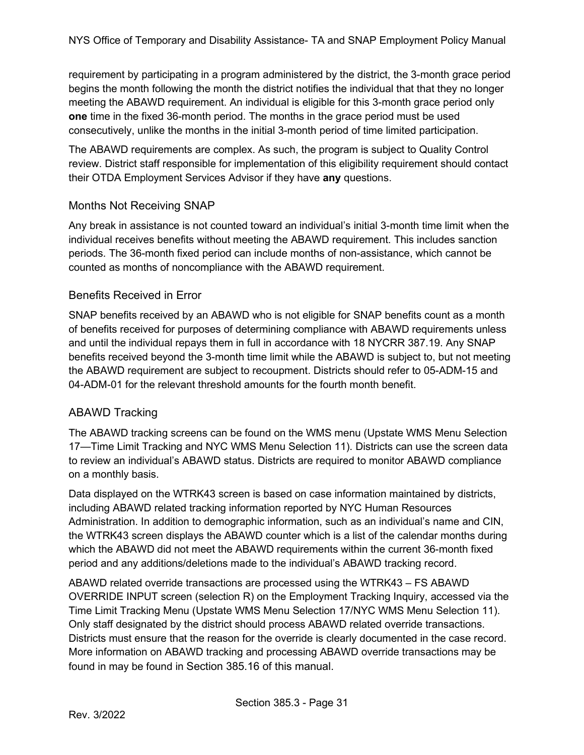requirement by participating in a program administered by the district, the 3-month grace period begins the month following the month the district notifies the individual that that they no longer meeting the ABAWD requirement. An individual is eligible for this 3-month grace period only **one** time in the fixed 36-month period. The months in the grace period must be used consecutively, unlike the months in the initial 3-month period of time limited participation.

The ABAWD requirements are complex. As such, the program is subject to Quality Control review. District staff responsible for implementation of this eligibility requirement should contact their OTDA Employment Services Advisor if they have **any** questions.

### Months Not Receiving SNAP

Any break in assistance is not counted toward an individual's initial 3-month time limit when the individual receives benefits without meeting the ABAWD requirement. This includes sanction periods. The 36-month fixed period can include months of non-assistance, which cannot be counted as months of noncompliance with the ABAWD requirement.

### Benefits Received in Error

SNAP benefits received by an ABAWD who is not eligible for SNAP benefits count as a month of benefits received for purposes of determining compliance with ABAWD requirements unless and until the individual repays them in full in accordance with 18 NYCRR 387.19. Any SNAP benefits received beyond the 3-month time limit while the ABAWD is subject to, but not meeting the ABAWD requirement are subject to recoupment. Districts should refer to 05-ADM-15 and 04-ADM-01 for the relevant threshold amounts for the fourth month benefit.

### ABAWD Tracking

The ABAWD tracking screens can be found on the WMS menu (Upstate WMS Menu Selection 17—Time Limit Tracking and NYC WMS Menu Selection 11). Districts can use the screen data to review an individual's ABAWD status. Districts are required to monitor ABAWD compliance on a monthly basis.

Data displayed on the WTRK43 screen is based on case information maintained by districts, including ABAWD related tracking information reported by NYC Human Resources Administration. In addition to demographic information, such as an individual's name and CIN, the WTRK43 screen displays the ABAWD counter which is a list of the calendar months during which the ABAWD did not meet the ABAWD requirements within the current 36-month fixed period and any additions/deletions made to the individual's ABAWD tracking record.

ABAWD related override transactions are processed using the WTRK43 – FS ABAWD OVERRIDE INPUT screen (selection R) on the Employment Tracking Inquiry, accessed via the Time Limit Tracking Menu (Upstate WMS Menu Selection 17/NYC WMS Menu Selection 11). Only staff designated by the district should process ABAWD related override transactions. Districts must ensure that the reason for the override is clearly documented in the case record. More information on ABAWD tracking and processing ABAWD override transactions may be found in may be found in Section 385.16 of this manual.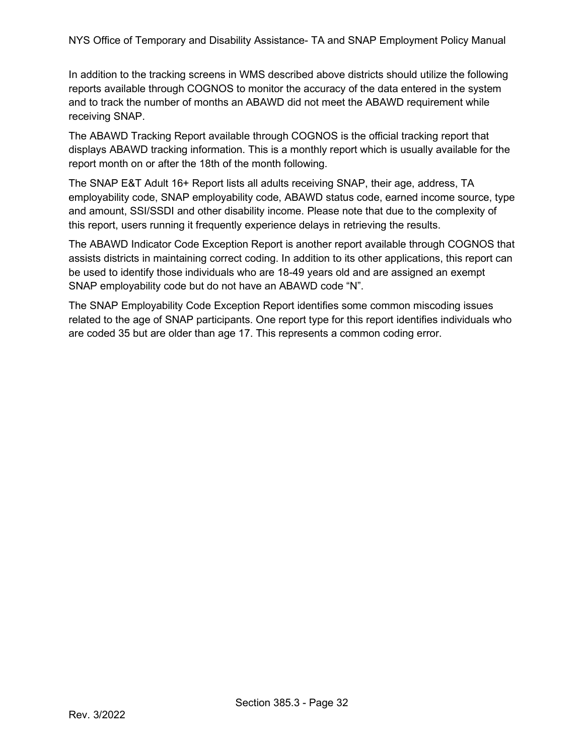In addition to the tracking screens in WMS described above districts should utilize the following reports available through COGNOS to monitor the accuracy of the data entered in the system and to track the number of months an ABAWD did not meet the ABAWD requirement while receiving SNAP.

The ABAWD Tracking Report available through COGNOS is the official tracking report that displays ABAWD tracking information. This is a monthly report which is usually available for the report month on or after the 18th of the month following.

The SNAP E&T Adult 16+ Report lists all adults receiving SNAP, their age, address, TA employability code, SNAP employability code, ABAWD status code, earned income source, type and amount, SSI/SSDI and other disability income. Please note that due to the complexity of this report, users running it frequently experience delays in retrieving the results.

The ABAWD Indicator Code Exception Report is another report available through COGNOS that assists districts in maintaining correct coding. In addition to its other applications, this report can be used to identify those individuals who are 18-49 years old and are assigned an exempt SNAP employability code but do not have an ABAWD code "N".

The SNAP Employability Code Exception Report identifies some common miscoding issues related to the age of SNAP participants. One report type for this report identifies individuals who are coded 35 but are older than age 17. This represents a common coding error.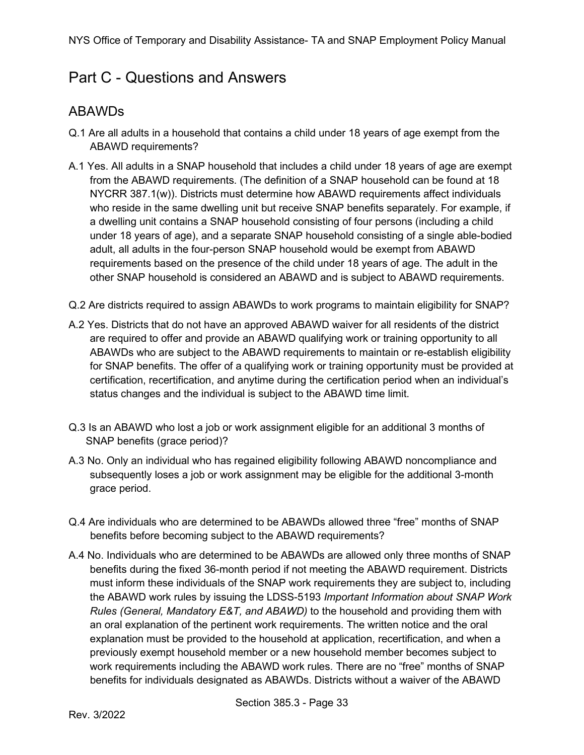## <span id="page-32-0"></span>Part C - Questions and Answers

### <span id="page-32-1"></span>ABAWDs

- Q.1 Are all adults in a household that contains a child under 18 years of age exempt from the ABAWD requirements?
- A.1 Yes. All adults in a SNAP household that includes a child under 18 years of age are exempt from the ABAWD requirements. (The definition of a SNAP household can be found at 18 NYCRR 387.1(w)). Districts must determine how ABAWD requirements affect individuals who reside in the same dwelling unit but receive SNAP benefits separately. For example, if a dwelling unit contains a SNAP household consisting of four persons (including a child under 18 years of age), and a separate SNAP household consisting of a single able-bodied adult, all adults in the four-person SNAP household would be exempt from ABAWD requirements based on the presence of the child under 18 years of age. The adult in the other SNAP household is considered an ABAWD and is subject to ABAWD requirements.
- Q.2 Are districts required to assign ABAWDs to work programs to maintain eligibility for SNAP?
- A.2 Yes. Districts that do not have an approved ABAWD waiver for all residents of the district are required to offer and provide an ABAWD qualifying work or training opportunity to all ABAWDs who are subject to the ABAWD requirements to maintain or re-establish eligibility for SNAP benefits. The offer of a qualifying work or training opportunity must be provided at certification, recertification, and anytime during the certification period when an individual's status changes and the individual is subject to the ABAWD time limit.
- Q.3 Is an ABAWD who lost a job or work assignment eligible for an additional 3 months of SNAP benefits (grace period)?
- A.3 No. Only an individual who has regained eligibility following ABAWD noncompliance and subsequently loses a job or work assignment may be eligible for the additional 3-month grace period.
- Q.4 Are individuals who are determined to be ABAWDs allowed three "free" months of SNAP benefits before becoming subject to the ABAWD requirements?
- A.4 No. Individuals who are determined to be ABAWDs are allowed only three months of SNAP benefits during the fixed 36-month period if not meeting the ABAWD requirement. Districts must inform these individuals of the SNAP work requirements they are subject to, including the ABAWD work rules by issuing the LDSS-5193 *Important Information about SNAP Work Rules (General, Mandatory E&T, and ABAWD)* to the household and providing them with an oral explanation of the pertinent work requirements. The written notice and the oral explanation must be provided to the household at application, recertification, and when a previously exempt household member or a new household member becomes subject to work requirements including the ABAWD work rules. There are no "free" months of SNAP benefits for individuals designated as ABAWDs. Districts without a waiver of the ABAWD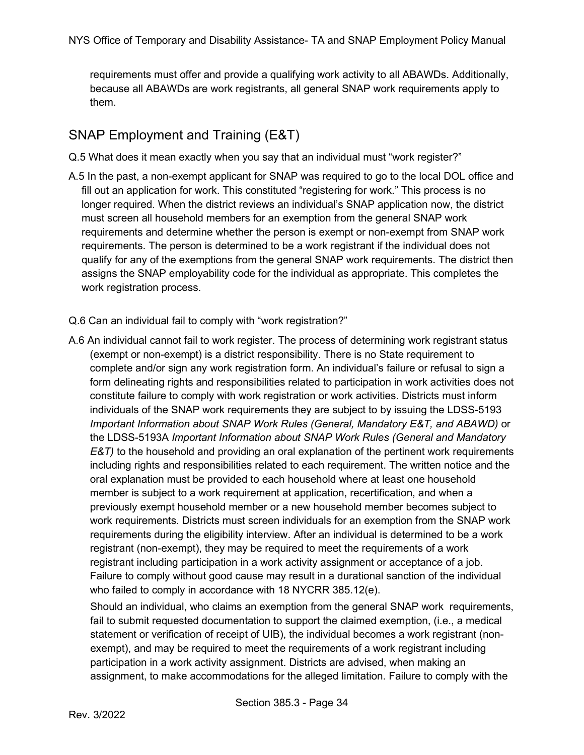requirements must offer and provide a qualifying work activity to all ABAWDs. Additionally, because all ABAWDs are work registrants, all general SNAP work requirements apply to them.

### <span id="page-33-0"></span>SNAP Employment and Training (E&T)

- Q.5 What does it mean exactly when you say that an individual must "work register?"
- A.5 In the past, a non-exempt applicant for SNAP was required to go to the local DOL office and fill out an application for work. This constituted "registering for work." This process is no longer required. When the district reviews an individual's SNAP application now, the district must screen all household members for an exemption from the general SNAP work requirements and determine whether the person is exempt or non-exempt from SNAP work requirements. The person is determined to be a work registrant if the individual does not qualify for any of the exemptions from the general SNAP work requirements. The district then assigns the SNAP employability code for the individual as appropriate. This completes the work registration process.
- Q.6 Can an individual fail to comply with "work registration?"
- A.6 An individual cannot fail to work register. The process of determining work registrant status (exempt or non-exempt) is a district responsibility. There is no State requirement to complete and/or sign any work registration form. An individual's failure or refusal to sign a form delineating rights and responsibilities related to participation in work activities does not constitute failure to comply with work registration or work activities. Districts must inform individuals of the SNAP work requirements they are subject to by issuing the LDSS-5193 *Important Information about SNAP Work Rules (General, Mandatory E&T, and ABAWD)* or the LDSS-5193A *Important Information about SNAP Work Rules (General and Mandatory E&T)* to the household and providing an oral explanation of the pertinent work requirements including rights and responsibilities related to each requirement. The written notice and the oral explanation must be provided to each household where at least one household member is subject to a work requirement at application, recertification, and when a previously exempt household member or a new household member becomes subject to work requirements. Districts must screen individuals for an exemption from the SNAP work requirements during the eligibility interview. After an individual is determined to be a work registrant (non-exempt), they may be required to meet the requirements of a work registrant including participation in a work activity assignment or acceptance of a job. Failure to comply without good cause may result in a durational sanction of the individual who failed to comply in accordance with 18 NYCRR 385.12(e).

Should an individual, who claims an exemption from the general SNAP work requirements, fail to submit requested documentation to support the claimed exemption, (i.e., a medical statement or verification of receipt of UIB), the individual becomes a work registrant (nonexempt), and may be required to meet the requirements of a work registrant including participation in a work activity assignment. Districts are advised, when making an assignment, to make accommodations for the alleged limitation. Failure to comply with the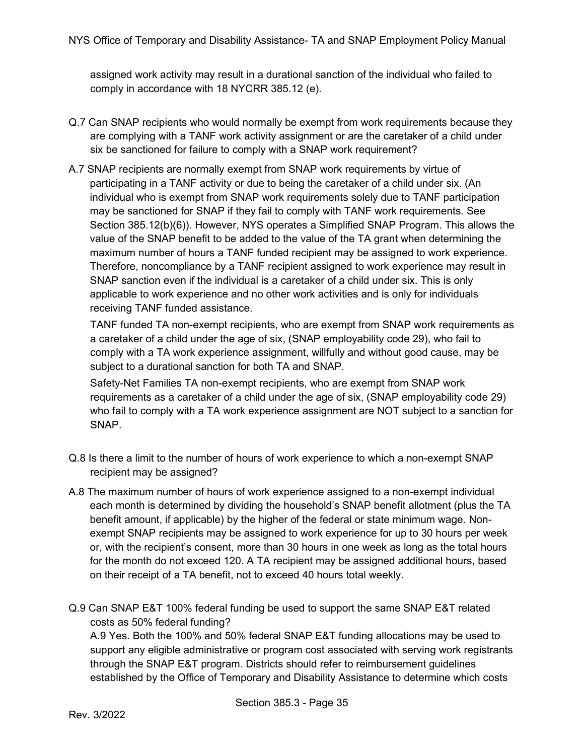assigned work activity may result in a durational sanction of the individual who failed to comply in accordance with 18 NYCRR 385.12 (e).

- Q.7 Can SNAP recipients who would normally be exempt from work requirements because they are complying with a TANF work activity assignment or are the caretaker of a child under six be sanctioned for failure to comply with a SNAP work requirement?
- A.7 SNAP recipients are normally exempt from SNAP work requirements by virtue of participating in a TANF activity or due to being the caretaker of a child under six. (An individual who is exempt from SNAP work requirements solely due to TANF participation may be sanctioned for SNAP if they fail to comply with TANF work requirements. See Section 385.12(b)(6)). However, NYS operates a Simplified SNAP Program. This allows the value of the SNAP benefit to be added to the value of the TA grant when determining the maximum number of hours a TANF funded recipient may be assigned to work experience. Therefore, noncompliance by a TANF recipient assigned to work experience may result in SNAP sanction even if the individual is a caretaker of a child under six. This is only applicable to work experience and no other work activities and is only for individuals receiving TANF funded assistance.

TANF funded TA non-exempt recipients, who are exempt from SNAP work requirements as a caretaker of a child under the age of six, (SNAP employability code 29), who fail to comply with a TA work experience assignment, willfully and without good cause, may be subject to a durational sanction for both TA and SNAP.

Safety-Net Families TA non-exempt recipients, who are exempt from SNAP work requirements as a caretaker of a child under the age of six, (SNAP employability code 29) who fail to comply with a TA work experience assignment are NOT subject to a sanction for SNAP.

- Q.8 Is there a limit to the number of hours of work experience to which a non-exempt SNAP recipient may be assigned?
- A.8 The maximum number of hours of work experience assigned to a non-exempt individual each month is determined by dividing the household's SNAP benefit allotment (plus the TA benefit amount, if applicable) by the higher of the federal or state minimum wage. Nonexempt SNAP recipients may be assigned to work experience for up to 30 hours per week or, with the recipient's consent, more than 30 hours in one week as long as the total hours for the month do not exceed 120. A TA recipient may be assigned additional hours, based on their receipt of a TA benefit, not to exceed 40 hours total weekly.
- Q.9 Can SNAP E&T 100% federal funding be used to support the same SNAP E&T related costs as 50% federal funding?

A.9 Yes. Both the 100% and 50% federal SNAP E&T funding allocations may be used to support any eligible administrative or program cost associated with serving work registrants through the SNAP E&T program. Districts should refer to reimbursement guidelines established by the Office of Temporary and Disability Assistance to determine which costs